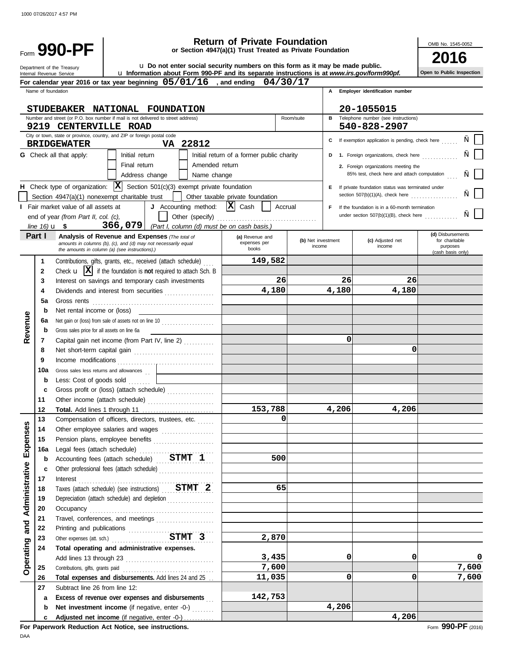|                                                                                                                                                                                                                                                                                                                     |                                  |                                                                                                                                                                                                                                                                  |                                           |                |                                                                          | <b>Return of Private Foundation</b>                                                                                                                 |                           |                              |       |                                                                                                                                                                                                                                                                                                                            | OMB No. 1545-0052                                                    |
|---------------------------------------------------------------------------------------------------------------------------------------------------------------------------------------------------------------------------------------------------------------------------------------------------------------------|----------------------------------|------------------------------------------------------------------------------------------------------------------------------------------------------------------------------------------------------------------------------------------------------------------|-------------------------------------------|----------------|--------------------------------------------------------------------------|-----------------------------------------------------------------------------------------------------------------------------------------------------|---------------------------|------------------------------|-------|----------------------------------------------------------------------------------------------------------------------------------------------------------------------------------------------------------------------------------------------------------------------------------------------------------------------------|----------------------------------------------------------------------|
| Form 990-PF<br>or Section 4947(a)(1) Trust Treated as Private Foundation<br>u. Do not enter social security numbers on this form as it may be made public.<br>Department of the Treasury<br>Lu Information about Form 990-PF and its separate instructions is at www.irs.gov/form990pf.<br>Internal Revenue Service |                                  |                                                                                                                                                                                                                                                                  |                                           |                |                                                                          |                                                                                                                                                     | Open to Public Inspection |                              |       |                                                                                                                                                                                                                                                                                                                            |                                                                      |
|                                                                                                                                                                                                                                                                                                                     |                                  |                                                                                                                                                                                                                                                                  |                                           |                |                                                                          | For calendar year 2016 or tax year beginning $05/01/16$ , and ending $04/30/17$                                                                     |                           |                              |       |                                                                                                                                                                                                                                                                                                                            |                                                                      |
|                                                                                                                                                                                                                                                                                                                     | Name of foundation               |                                                                                                                                                                                                                                                                  |                                           |                |                                                                          |                                                                                                                                                     |                           |                              | A     | Employer identification number                                                                                                                                                                                                                                                                                             |                                                                      |
|                                                                                                                                                                                                                                                                                                                     |                                  |                                                                                                                                                                                                                                                                  |                                           |                |                                                                          |                                                                                                                                                     |                           |                              |       |                                                                                                                                                                                                                                                                                                                            |                                                                      |
|                                                                                                                                                                                                                                                                                                                     |                                  | STUDEBAKER NATIONAL FOUNDATION<br>Number and street (or P.O. box number if mail is not delivered to street address)                                                                                                                                              |                                           |                |                                                                          |                                                                                                                                                     |                           | Room/suite                   |       | 20-1055015<br><b>B</b> Telephone number (see instructions)                                                                                                                                                                                                                                                                 |                                                                      |
|                                                                                                                                                                                                                                                                                                                     |                                  | 9219 CENTERVILLE ROAD                                                                                                                                                                                                                                            |                                           |                |                                                                          |                                                                                                                                                     |                           |                              |       | 540-828-2907                                                                                                                                                                                                                                                                                                               |                                                                      |
|                                                                                                                                                                                                                                                                                                                     |                                  | City or town, state or province, country, and ZIP or foreign postal code<br><b>BRIDGEWATER</b>                                                                                                                                                                   |                                           |                | VA 22812                                                                 |                                                                                                                                                     |                           |                              |       | C If exemption application is pending, check here                                                                                                                                                                                                                                                                          |                                                                      |
|                                                                                                                                                                                                                                                                                                                     | line $16)$ <b>u</b> \$           | <b>G</b> Check all that apply:<br><b>H</b> Check type of organization: $ \mathbf{X} $ Section 501(c)(3) exempt private foundation<br>Section 4947(a)(1) nonexempt charitable trust<br>Fair market value of all assets at<br>end of year (from Part II, col. (c), | Initial return<br>Final return<br>366,079 | Address change | Amended return<br>Name change<br>J Accounting method:<br>Other (specify) | Initial return of a former public charity<br>Other taxable private foundation<br>$ \mathbf{X} $ Cash<br>(Part I, column (d) must be on cash basis.) | Accrual                   |                              | F.    | D 1. Foreign organizations, check here<br>2. Foreign organizations meeting the<br>85% test, check here and attach computation<br>E If private foundation status was terminated under<br>section $507(b)(1)(A)$ , check here<br>If the foundation is in a 60-month termination<br>under section $507(b)(1)(B)$ , check here |                                                                      |
|                                                                                                                                                                                                                                                                                                                     | Part I                           | <b>Analysis of Revenue and Expenses (The total of</b><br>amounts in columns (b), (c), and (d) may not necessarily equal<br>the amounts in column (a) (see instructions).)                                                                                        |                                           |                |                                                                          | (a) Revenue and<br>expenses per<br>books                                                                                                            |                           | (b) Net investment<br>income |       | (c) Adjusted net<br>income                                                                                                                                                                                                                                                                                                 | (d) Disbursements<br>for charitable<br>purposes<br>(cash basis only) |
|                                                                                                                                                                                                                                                                                                                     | 1                                | Contributions, gifts, grants, etc., received (attach schedule)                                                                                                                                                                                                   |                                           |                |                                                                          | 149,582                                                                                                                                             |                           |                              |       |                                                                                                                                                                                                                                                                                                                            |                                                                      |
|                                                                                                                                                                                                                                                                                                                     | $\mathbf{2}$                     | Check $\mathbf{u}$ $\mathbf{X}$ if the foundation is not required to attach Sch. B                                                                                                                                                                               |                                           |                |                                                                          |                                                                                                                                                     |                           |                              |       |                                                                                                                                                                                                                                                                                                                            |                                                                      |
|                                                                                                                                                                                                                                                                                                                     | 3                                | Interest on savings and temporary cash investments                                                                                                                                                                                                               |                                           |                |                                                                          |                                                                                                                                                     | 26                        |                              | 26    | 26                                                                                                                                                                                                                                                                                                                         |                                                                      |
|                                                                                                                                                                                                                                                                                                                     | 4                                | Dividends and interest from securities                                                                                                                                                                                                                           |                                           |                |                                                                          | 4,180                                                                                                                                               |                           |                              | 4,180 | 4,180                                                                                                                                                                                                                                                                                                                      |                                                                      |
|                                                                                                                                                                                                                                                                                                                     | 5a                               | Gross rents                                                                                                                                                                                                                                                      |                                           |                |                                                                          |                                                                                                                                                     |                           |                              |       |                                                                                                                                                                                                                                                                                                                            |                                                                      |
|                                                                                                                                                                                                                                                                                                                     | Net rental income or (loss)<br>b |                                                                                                                                                                                                                                                                  |                                           |                |                                                                          |                                                                                                                                                     |                           |                              |       |                                                                                                                                                                                                                                                                                                                            |                                                                      |
|                                                                                                                                                                                                                                                                                                                     | 6a                               | Net gain or (loss) from sale of assets not on line 10                                                                                                                                                                                                            |                                           |                |                                                                          |                                                                                                                                                     |                           |                              |       |                                                                                                                                                                                                                                                                                                                            |                                                                      |
| Revenue                                                                                                                                                                                                                                                                                                             | b                                | Gross sales price for all assets on line 6a                                                                                                                                                                                                                      |                                           |                |                                                                          |                                                                                                                                                     |                           |                              |       |                                                                                                                                                                                                                                                                                                                            |                                                                      |
|                                                                                                                                                                                                                                                                                                                     | 7                                | Capital gain net income (from Part IV, line 2)                                                                                                                                                                                                                   |                                           |                |                                                                          |                                                                                                                                                     |                           |                              |       | 0                                                                                                                                                                                                                                                                                                                          |                                                                      |
|                                                                                                                                                                                                                                                                                                                     | 8                                | Net short-term capital gain                                                                                                                                                                                                                                      |                                           |                |                                                                          |                                                                                                                                                     |                           |                              |       | 0                                                                                                                                                                                                                                                                                                                          |                                                                      |
|                                                                                                                                                                                                                                                                                                                     | g                                | Income modifications                                                                                                                                                                                                                                             |                                           |                |                                                                          |                                                                                                                                                     |                           |                              |       |                                                                                                                                                                                                                                                                                                                            |                                                                      |

**Open to Public Inspection**

 $\Box$ 

|                |                         | J Accounting method: $ \mathbf{X} $ Cash     Accrual<br>I Fair market value of all assets at<br>end of year (from Part II, col. (c),                               |                                          | F.                           | If the foundation is in a 60-month termination<br>under section 507(b)(1)(B), check here |                                                                      |
|----------------|-------------------------|--------------------------------------------------------------------------------------------------------------------------------------------------------------------|------------------------------------------|------------------------------|------------------------------------------------------------------------------------------|----------------------------------------------------------------------|
|                | line $16$ ) <b>u</b> \$ | 366, 079   (Part I, column (d) must be on cash basis.)                                                                                                             |                                          |                              |                                                                                          |                                                                      |
|                | Part I                  | Analysis of Revenue and Expenses (The total of<br>amounts in columns (b), (c), and (d) may not necessarily equal<br>the amounts in column (a) (see instructions).) | (a) Revenue and<br>expenses per<br>books | (b) Net investment<br>income | (c) Adjusted net<br>income                                                               | (d) Disbursements<br>for charitable<br>purposes<br>(cash basis only) |
|                | 1                       | Contributions, gifts, grants, etc., received (attach schedule)                                                                                                     | 149,582                                  |                              |                                                                                          |                                                                      |
| Revenue        | $\mathbf{2}$            | Check $\mathbf{u}$ $\mathbf{X}$ if the foundation is not required to attach Sch. B                                                                                 |                                          |                              |                                                                                          |                                                                      |
|                | 3                       | Interest on savings and temporary cash investments                                                                                                                 | 26                                       | 26                           | 26                                                                                       |                                                                      |
|                | 4                       | Dividends and interest from securities                                                                                                                             | 4,180                                    | 4,180                        | 4,180                                                                                    |                                                                      |
|                | 5a                      |                                                                                                                                                                    |                                          |                              |                                                                                          |                                                                      |
|                | b                       | Net rental income or (loss)                                                                                                                                        |                                          |                              |                                                                                          |                                                                      |
|                | 6а                      | Net gain or (loss) from sale of assets not on line 10                                                                                                              |                                          |                              |                                                                                          |                                                                      |
|                | b                       | Gross sales price for all assets on line 6a                                                                                                                        |                                          |                              |                                                                                          |                                                                      |
|                | 7                       | Capital gain net income (from Part IV, line 2)                                                                                                                     |                                          | 0                            |                                                                                          |                                                                      |
|                | 8                       |                                                                                                                                                                    |                                          |                              | 0                                                                                        |                                                                      |
|                | 9                       |                                                                                                                                                                    |                                          |                              |                                                                                          |                                                                      |
|                | 10a                     | Gross sales less returns and allowances                                                                                                                            |                                          |                              |                                                                                          |                                                                      |
|                | b                       | Less: Cost of goods sold                                                                                                                                           |                                          |                              |                                                                                          |                                                                      |
|                | C                       | Gross profit or (loss) (attach schedule)                                                                                                                           |                                          |                              |                                                                                          |                                                                      |
|                | 11                      | Other income (attach schedule)                                                                                                                                     |                                          |                              |                                                                                          |                                                                      |
|                | 12                      |                                                                                                                                                                    | 153,788                                  | 4,206                        | 4,206                                                                                    |                                                                      |
|                | 13                      | Compensation of officers, directors, trustees, etc.                                                                                                                | $\mathbf 0$                              |                              |                                                                                          |                                                                      |
| Expenses       | 14                      | Other employee salaries and wages                                                                                                                                  |                                          |                              |                                                                                          |                                                                      |
|                | 15                      | Pension plans, employee benefits                                                                                                                                   |                                          |                              |                                                                                          |                                                                      |
|                | 16a                     |                                                                                                                                                                    |                                          |                              |                                                                                          |                                                                      |
|                | b                       | Accounting fees (attach schedule) STMT 1                                                                                                                           | 500                                      |                              |                                                                                          |                                                                      |
|                | C                       | Other professional fees (attach schedule)                                                                                                                          |                                          |                              |                                                                                          |                                                                      |
|                | 17                      | Interest $\ldots$ . $\ldots$ . $\ldots$ . $\ldots$ . $\ldots$ . $\ldots$ . $\ldots$ . $\ldots$ . $\ldots$ .                                                        |                                          |                              |                                                                                          |                                                                      |
|                | 18                      | Taxes (attach schedule) (see instructions) STMT 2                                                                                                                  | 65                                       |                              |                                                                                          |                                                                      |
| Administrative | 19                      | Depreciation (attach schedule) and depletion                                                                                                                       |                                          |                              |                                                                                          |                                                                      |
|                | 20                      |                                                                                                                                                                    |                                          |                              |                                                                                          |                                                                      |
|                | 21                      | Travel, conferences, and meetings                                                                                                                                  |                                          |                              |                                                                                          |                                                                      |
| and            | 22                      |                                                                                                                                                                    |                                          |                              |                                                                                          |                                                                      |
|                | 23                      | Other expenses (att. sch.)<br>STMT 3                                                                                                                               | 2,870                                    |                              |                                                                                          |                                                                      |
|                | 24                      | Total operating and administrative expenses.                                                                                                                       |                                          |                              |                                                                                          |                                                                      |
| Operating      |                         |                                                                                                                                                                    | 3,435                                    | 0                            | 0                                                                                        | 0                                                                    |
|                | 25                      |                                                                                                                                                                    | 7,600                                    |                              |                                                                                          | 7,600                                                                |
|                | 26                      | Total expenses and disbursements. Add lines 24 and 25                                                                                                              | 11,035                                   | 0                            | 0                                                                                        | 7,600                                                                |
|                | 27                      | Subtract line 26 from line 12:                                                                                                                                     |                                          |                              |                                                                                          |                                                                      |
|                | a                       | Excess of revenue over expenses and disbursements                                                                                                                  | 142,753                                  |                              |                                                                                          |                                                                      |
|                | b                       | Net investment income (if negative, enter -0-)                                                                                                                     |                                          | 4,206                        |                                                                                          |                                                                      |
|                | c                       | Adjusted net income (if negative, enter -0-)                                                                                                                       |                                          |                              | 4,206                                                                                    |                                                                      |
|                |                         | For Paperwork Reduction Act Notice, see instructions.                                                                                                              |                                          |                              |                                                                                          | Form 990-PF (2016)                                                   |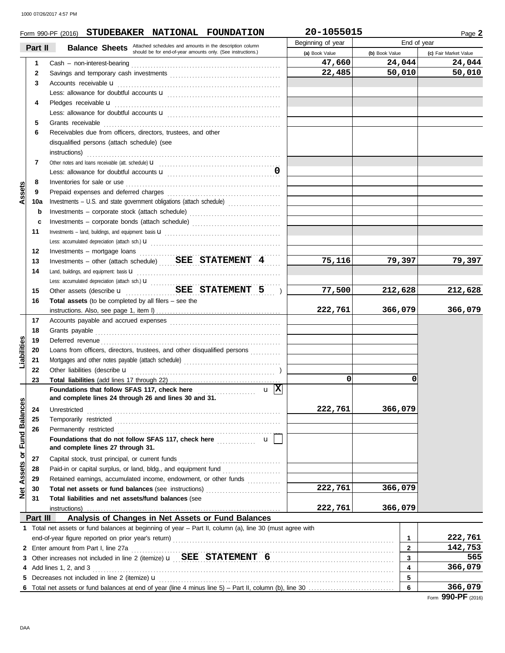|                             |          | Form 990-PF (2016) STUDEBAKER NATIONAL FOUNDATION                                                                                          | 20-1055015        |                | Page 2                |
|-----------------------------|----------|--------------------------------------------------------------------------------------------------------------------------------------------|-------------------|----------------|-----------------------|
|                             | Part II  |                                                                                                                                            | Beginning of year | End of year    |                       |
|                             |          | <b>Balance Sheets</b> Attached schedules and amounts in the description column should be for end-of-year amounts only. (See instructions.) | (a) Book Value    | (b) Book Value | (c) Fair Market Value |
|                             | 1        |                                                                                                                                            | 47,660            | 24,044         | 24,044                |
|                             | 2        |                                                                                                                                            | 22,485            | 50,010         | 50,010                |
|                             | 3        | Accounts receivable u                                                                                                                      |                   |                |                       |
|                             |          |                                                                                                                                            |                   |                |                       |
|                             | 4        | Pledges receivable u                                                                                                                       |                   |                |                       |
|                             |          |                                                                                                                                            |                   |                |                       |
|                             | 5        | Grants receivable                                                                                                                          |                   |                |                       |
|                             | 6        | Receivables due from officers, directors, trustees, and other                                                                              |                   |                |                       |
|                             |          | disqualified persons (attach schedule) (see                                                                                                |                   |                |                       |
|                             |          | instructions)                                                                                                                              |                   |                |                       |
|                             | 7        |                                                                                                                                            |                   |                |                       |
|                             |          |                                                                                                                                            |                   |                |                       |
|                             | 8        | Inventories for sale or use                                                                                                                |                   |                |                       |
| Assets                      | 9        |                                                                                                                                            |                   |                |                       |
|                             | 10a      |                                                                                                                                            |                   |                |                       |
|                             | b        |                                                                                                                                            |                   |                |                       |
|                             |          | Investments - corporate stock (attach schedule)                                                                                            |                   |                |                       |
|                             | c        | Investments - corporate bonds (attach schedule)                                                                                            |                   |                |                       |
|                             | 11       |                                                                                                                                            |                   |                |                       |
|                             |          |                                                                                                                                            |                   |                |                       |
|                             | 12       | Investments - mortgage loans                                                                                                               |                   |                |                       |
|                             | 13       | Investments - other (attach schedule) $BEE$ $STATEMENT$ 4                                                                                  | 75,116            | 79,397         | 79,397                |
|                             | 14       | Land, buildings, and equipment: basis <b>U</b>                                                                                             |                   |                |                       |
|                             |          |                                                                                                                                            |                   |                |                       |
|                             | 15       | SEE STATEMENT 5<br>Other assets (describe <b>u</b><br>.<br>$\overline{\phantom{a}}$                                                        | 77,500            | 212,628        | 212,628               |
|                             | 16       | <b>Total assets</b> (to be completed by all filers $-$ see the                                                                             |                   |                |                       |
|                             |          |                                                                                                                                            | 222,761           | 366,079        | 366,079               |
|                             | 17       |                                                                                                                                            |                   |                |                       |
|                             | 18       | Grants payable                                                                                                                             |                   |                |                       |
| Liabilities                 | 19       | Deferred revenue                                                                                                                           |                   |                |                       |
|                             | 20       | Loans from officers, directors, trustees, and other disqualified persons                                                                   |                   |                |                       |
|                             | 21       |                                                                                                                                            |                   |                |                       |
|                             | 22       | Other liabilities (describe <b>u</b>                                                                                                       |                   |                |                       |
|                             | 23       |                                                                                                                                            | 0                 | 0              |                       |
|                             |          | $\mathbf{u}$  X <br>Foundations that follow SFAS 117, check here <b>constructs</b>                                                         |                   |                |                       |
|                             |          | and complete lines 24 through 26 and lines 30 and 31.                                                                                      |                   |                |                       |
|                             | 24       | Unrestricted                                                                                                                               | 222,761           | 366,079        |                       |
| Net Assets or Fund Balances | 25       | Temporarily restricted                                                                                                                     |                   |                |                       |
|                             | 26       | Permanently restricted                                                                                                                     |                   |                |                       |
|                             |          | Foundations that do not follow SFAS 117, check here<br><b>u</b>                                                                            |                   |                |                       |
|                             |          | and complete lines 27 through 31.                                                                                                          |                   |                |                       |
|                             | 27       | Capital stock, trust principal, or current funds                                                                                           |                   |                |                       |
|                             | 28       | Paid-in or capital surplus, or land, bldg., and equipment fund                                                                             |                   |                |                       |
|                             | 29       | Retained earnings, accumulated income, endowment, or other funds                                                                           |                   |                |                       |
|                             | 30       |                                                                                                                                            | 222,761           | 366,079        |                       |
|                             | 31       | Total liabilities and net assets/fund balances (see                                                                                        |                   |                |                       |
|                             |          | instructions)                                                                                                                              | 222,761           | 366,079        |                       |
|                             | Part III | Analysis of Changes in Net Assets or Fund Balances                                                                                         |                   |                |                       |
|                             |          | 1 Total net assets or fund balances at beginning of year - Part II, column (a), line 30 (must agree with                                   |                   |                |                       |
|                             |          | end-of-year figure reported on prior year's return)                                                                                        |                   | 1              | 222,761               |
|                             |          | 2 Enter amount from Part I, line 27a                                                                                                       |                   | $\mathbf{2}$   | 142,753               |
|                             |          |                                                                                                                                            |                   | 3              | 565                   |
|                             |          | 4 Add lines 1, 2, and 3                                                                                                                    |                   | 4              | 366,079               |
|                             |          | 5 Decreases not included in line 2 (itemize) $\mathbf u$                                                                                   |                   | 5              |                       |
|                             |          |                                                                                                                                            |                   | 6              | 366,079               |
|                             |          |                                                                                                                                            |                   |                | Form 990-PF (2016)    |
|                             |          |                                                                                                                                            |                   |                |                       |
|                             |          |                                                                                                                                            |                   |                |                       |
| DAA                         |          |                                                                                                                                            |                   |                |                       |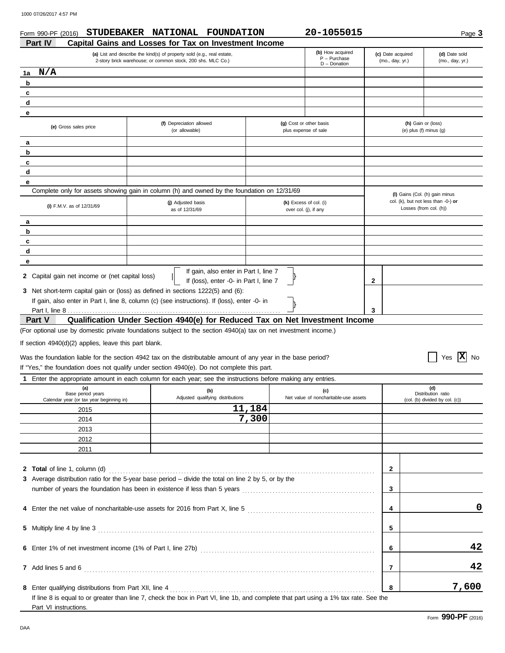| 1000 07/26/2017 4:57 PM              |                                                                                                                                       |                                                       |                                                               |                                  |
|--------------------------------------|---------------------------------------------------------------------------------------------------------------------------------------|-------------------------------------------------------|---------------------------------------------------------------|----------------------------------|
| Form 990-PF (2016)<br><b>Part IV</b> | <b>STUDEBAKER</b><br>NATIONAL FOUNDATION<br>Capital Gains and Losses for Tax on Investment Income                                     | 20-1055015                                            |                                                               | Page 3                           |
|                                      | (a) List and describe the kind(s) of property sold (e.g., real estate,<br>2-story brick warehouse; or common stock, 200 shs. MLC Co.) | (b) How acquired<br>$P - P$ urchase<br>$D -$ Donation | (c) Date acquired<br>(mo., day, yr.)                          | (d) Date sold<br>(mo., day, yr.) |
| N/A<br>1a                            |                                                                                                                                       |                                                       |                                                               |                                  |
| $\mathbf b$                          |                                                                                                                                       |                                                       |                                                               |                                  |
| C                                    |                                                                                                                                       |                                                       |                                                               |                                  |
| d                                    |                                                                                                                                       |                                                       |                                                               |                                  |
| e                                    |                                                                                                                                       |                                                       |                                                               |                                  |
| (e) Gross sales price                | (f) Depreciation allowed<br>(or allowable)                                                                                            | (g) Cost or other basis<br>plus expense of sale       | (h) Gain or (loss)<br>(e) plus (f) minus $(g)$                |                                  |
| a                                    |                                                                                                                                       |                                                       |                                                               |                                  |
| b                                    |                                                                                                                                       |                                                       |                                                               |                                  |
| C                                    |                                                                                                                                       |                                                       |                                                               |                                  |
| d                                    |                                                                                                                                       |                                                       |                                                               |                                  |
| e                                    |                                                                                                                                       |                                                       |                                                               |                                  |
|                                      | Complete only for assets showing gain in column (h) and owned by the foundation on 12/31/69                                           |                                                       | (I) Gains (Col. (h) gain minus                                |                                  |
| (i) F.M.V. as of 12/31/69            | (j) Adjusted basis<br>as of 12/31/69                                                                                                  | (k) Excess of col. (i)<br>over col. (j), if any       | col. (k), but not less than -0-) or<br>Losses (from col. (h)) |                                  |
| a                                    |                                                                                                                                       |                                                       |                                                               |                                  |
| b                                    |                                                                                                                                       |                                                       |                                                               |                                  |
| C                                    |                                                                                                                                       |                                                       |                                                               |                                  |
| d                                    |                                                                                                                                       |                                                       |                                                               |                                  |
| е                                    |                                                                                                                                       |                                                       |                                                               |                                  |

}

**2**

**3**

}

**2** Capital gain net income or (net capital loss)

**3** Net short-term capital gain or (loss) as defined in sections 1222(5) and (6): If gain, also enter in Part I, line 8, column (c) (see instructions). If (loss), enter -0- in Part <u>I, line 8</u>.

### **Qualification Under Section 4940(e) for Reduced Tax on Net Investment Income Part V**

If gain, also enter in Part I, line 7 If (loss), enter -0- in Part I, line 7

(For optional use by domestic private foundations subject to the section 4940(a) tax on net investment income.)

|

If section 4940(d)(2) applies, leave this part blank.

Was the foundation liable for the section 4942 tax on the distributable amount of any year in the base period? If "Yes," the foundation does not qualify under section 4940(e). Do not complete this part.

 $\boxed{\phantom{1}}$  Yes  $\boxed{\mathbf{X}}$  No

**1** Enter the appropriate amount in each column for each year; see the instructions before making any entries.

| (a)<br>Base period years<br>Calendar year (or tax year beginning in) | (b)<br>Adjusted qualifying distributions                                                                                             | (c)<br>Net value of noncharitable-use assets |        | (d)<br>Distribution ratio<br>(col. (b) divided by col. (c)) |
|----------------------------------------------------------------------|--------------------------------------------------------------------------------------------------------------------------------------|----------------------------------------------|--------|-------------------------------------------------------------|
| 2015                                                                 | 11,184                                                                                                                               |                                              |        |                                                             |
| 2014                                                                 | 7,300                                                                                                                                |                                              |        |                                                             |
| 2013                                                                 |                                                                                                                                      |                                              |        |                                                             |
| 2012                                                                 |                                                                                                                                      |                                              |        |                                                             |
| 2011                                                                 |                                                                                                                                      |                                              |        |                                                             |
| 2 Total of line 1, column (d)                                        | 3 Average distribution ratio for the 5-year base period – divide the total on line 2 by 5, or by the                                 |                                              | 2<br>3 |                                                             |
|                                                                      |                                                                                                                                      |                                              | 4      | 0                                                           |
|                                                                      |                                                                                                                                      |                                              | 5      |                                                             |
|                                                                      |                                                                                                                                      |                                              | 6      | 42                                                          |
|                                                                      |                                                                                                                                      |                                              | 7      | 42                                                          |
|                                                                      |                                                                                                                                      |                                              | 8      | 7,600                                                       |
| Part VI instructions.                                                | If line 8 is equal to or greater than line 7, check the box in Part VI, line 1b, and complete that part using a 1% tax rate. See the |                                              |        |                                                             |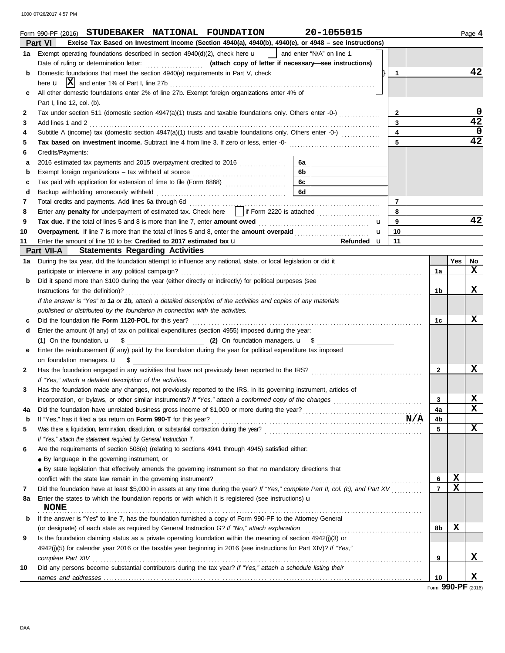1000 07/26/2017 4:57 PM

|             | 20-1055015<br>STUDEBAKER NATIONAL FOUNDATION<br>Form 990-PF (2016)                                                                                                                                                                                                                                                              |                |             | Page 4 |  |  |  |  |
|-------------|---------------------------------------------------------------------------------------------------------------------------------------------------------------------------------------------------------------------------------------------------------------------------------------------------------------------------------|----------------|-------------|--------|--|--|--|--|
|             | Excise Tax Based on Investment Income (Section 4940(a), 4940(b), 4940(e), or 4948 - see instructions)<br>Part VI                                                                                                                                                                                                                |                |             |        |  |  |  |  |
| 1а          | Exempt operating foundations described in section $4940(d)(2)$ , check here <b>u</b><br>and enter "N/A" on line 1.                                                                                                                                                                                                              |                |             |        |  |  |  |  |
|             |                                                                                                                                                                                                                                                                                                                                 |                |             | 42     |  |  |  |  |
| b           | Domestic foundations that meet the section 4940(e) requirements in Part V, check<br>1                                                                                                                                                                                                                                           |                |             |        |  |  |  |  |
|             |                                                                                                                                                                                                                                                                                                                                 |                |             |        |  |  |  |  |
| c           | All other domestic foundations enter 2% of line 27b. Exempt foreign organizations enter 4% of                                                                                                                                                                                                                                   |                |             |        |  |  |  |  |
|             | Part I, line 12, col. (b).                                                                                                                                                                                                                                                                                                      |                |             |        |  |  |  |  |
| 2           | Tax under section 511 (domestic section 4947(a)(1) trusts and taxable foundations only. Others enter -0-)<br>$\mathbf{2}$                                                                                                                                                                                                       |                |             | 0      |  |  |  |  |
| 3           | 3<br>Add lines 1 and 2                                                                                                                                                                                                                                                                                                          |                |             | 42     |  |  |  |  |
| 4           | Subtitle A (income) tax (domestic section $4947(a)(1)$ trusts and taxable foundations only. Others enter -0-) $(1, 2, 3, 3, 4)$<br>4                                                                                                                                                                                            |                |             | 0      |  |  |  |  |
| 5           | 5                                                                                                                                                                                                                                                                                                                               |                |             | 42     |  |  |  |  |
| 6           | Credits/Payments:                                                                                                                                                                                                                                                                                                               |                |             |        |  |  |  |  |
| а           | 6a<br>2016 estimated tax payments and 2015 overpayment credited to 2016                                                                                                                                                                                                                                                         |                |             |        |  |  |  |  |
| b           | 6b                                                                                                                                                                                                                                                                                                                              |                |             |        |  |  |  |  |
| c           | 6c<br>Tax paid with application for extension of time to file (Form 8868)                                                                                                                                                                                                                                                       |                |             |        |  |  |  |  |
| d           | 6d                                                                                                                                                                                                                                                                                                                              |                |             |        |  |  |  |  |
| 7           | $\overline{7}$                                                                                                                                                                                                                                                                                                                  |                |             |        |  |  |  |  |
| 8           | 8                                                                                                                                                                                                                                                                                                                               |                |             |        |  |  |  |  |
| 9           | Tax due. If the total of lines 5 and 8 is more than line 7, enter amount owed <i></i><br>9<br>u                                                                                                                                                                                                                                 |                |             | 42     |  |  |  |  |
| 10          | 10<br>u                                                                                                                                                                                                                                                                                                                         |                |             |        |  |  |  |  |
| 11          | Enter the amount of line 10 to be: Credited to 2017 estimated tax u<br><u>and the state of the state of the state of the state of the state of the state of the state of the state of the state of the state of the state of the state of the state of the state of the state of the state of the state</u><br>Refunded u<br>11 |                |             |        |  |  |  |  |
|             | <b>Statements Regarding Activities</b><br>Part VII-A                                                                                                                                                                                                                                                                            |                |             |        |  |  |  |  |
| 1а          | During the tax year, did the foundation attempt to influence any national, state, or local legislation or did it                                                                                                                                                                                                                |                | Yes         | No     |  |  |  |  |
|             | participate or intervene in any political campaign?                                                                                                                                                                                                                                                                             | 1a             |             | x      |  |  |  |  |
| b           | Did it spend more than \$100 during the year (either directly or indirectly) for political purposes (see                                                                                                                                                                                                                        |                |             |        |  |  |  |  |
|             | Instructions for the definition)?                                                                                                                                                                                                                                                                                               |                |             |        |  |  |  |  |
|             | If the answer is "Yes" to 1a or 1b, attach a detailed description of the activities and copies of any materials                                                                                                                                                                                                                 |                |             |        |  |  |  |  |
|             | published or distributed by the foundation in connection with the activities.                                                                                                                                                                                                                                                   |                |             |        |  |  |  |  |
| с           |                                                                                                                                                                                                                                                                                                                                 |                |             |        |  |  |  |  |
| d           | Enter the amount (if any) of tax on political expenditures (section 4955) imposed during the year:                                                                                                                                                                                                                              |                |             |        |  |  |  |  |
|             |                                                                                                                                                                                                                                                                                                                                 |                |             |        |  |  |  |  |
| е           | Enter the reimbursement (if any) paid by the foundation during the year for political expenditure tax imposed                                                                                                                                                                                                                   |                |             |        |  |  |  |  |
|             | on foundation managers. <b>u</b> \$                                                                                                                                                                                                                                                                                             |                |             |        |  |  |  |  |
| 2           | Has the foundation engaged in any activities that have not previously been reported to the IRS?                                                                                                                                                                                                                                 | $\mathbf{2}$   |             | x      |  |  |  |  |
|             | If "Yes," attach a detailed description of the activities.                                                                                                                                                                                                                                                                      |                |             |        |  |  |  |  |
|             | Has the foundation made any changes, not previously reported to the IRS, in its governing instrument, articles of                                                                                                                                                                                                               |                |             |        |  |  |  |  |
|             |                                                                                                                                                                                                                                                                                                                                 | 3              |             | х      |  |  |  |  |
| 4a          |                                                                                                                                                                                                                                                                                                                                 | 4a             |             | x      |  |  |  |  |
| $\mathbf b$ |                                                                                                                                                                                                                                                                                                                                 | 4b             |             |        |  |  |  |  |
| 5           |                                                                                                                                                                                                                                                                                                                                 | 5              |             | x      |  |  |  |  |
|             | If "Yes," attach the statement required by General Instruction T.                                                                                                                                                                                                                                                               |                |             |        |  |  |  |  |
| 6           | Are the requirements of section 508(e) (relating to sections 4941 through 4945) satisfied either:                                                                                                                                                                                                                               |                |             |        |  |  |  |  |
|             | • By language in the governing instrument, or                                                                                                                                                                                                                                                                                   |                |             |        |  |  |  |  |
|             | • By state legislation that effectively amends the governing instrument so that no mandatory directions that                                                                                                                                                                                                                    |                |             |        |  |  |  |  |
|             | conflict with the state law remain in the governing instrument?                                                                                                                                                                                                                                                                 | 6              | X           |        |  |  |  |  |
| 7           | Did the foundation have at least \$5,000 in assets at any time during the year? If "Yes," complete Part II, col. (c), and Part XV                                                                                                                                                                                               | $\overline{7}$ | $\mathbf x$ |        |  |  |  |  |
|             | Enter the states to which the foundation reports or with which it is registered (see instructions) $\mathbf u$                                                                                                                                                                                                                  |                |             |        |  |  |  |  |
| 8a          | <b>NONE</b>                                                                                                                                                                                                                                                                                                                     |                |             |        |  |  |  |  |
|             | If the answer is "Yes" to line 7, has the foundation furnished a copy of Form 990-PF to the Attorney General                                                                                                                                                                                                                    |                |             |        |  |  |  |  |
| b           |                                                                                                                                                                                                                                                                                                                                 | 8b             | $\mathbf x$ |        |  |  |  |  |
|             | (or designate) of each state as required by General Instruction G? If "No," attach explanation                                                                                                                                                                                                                                  |                |             |        |  |  |  |  |
| 9           | Is the foundation claiming status as a private operating foundation within the meaning of section 4942(j)(3) or                                                                                                                                                                                                                 |                |             |        |  |  |  |  |
|             | 4942(j)(5) for calendar year 2016 or the taxable year beginning in 2016 (see instructions for Part XIV)? If "Yes,"                                                                                                                                                                                                              |                |             | x      |  |  |  |  |
|             |                                                                                                                                                                                                                                                                                                                                 | 9              |             |        |  |  |  |  |
| 10          | Did any persons become substantial contributors during the tax year? If "Yes," attach a schedule listing their                                                                                                                                                                                                                  |                |             |        |  |  |  |  |
|             |                                                                                                                                                                                                                                                                                                                                 | 10             | QQN_DE      | x      |  |  |  |  |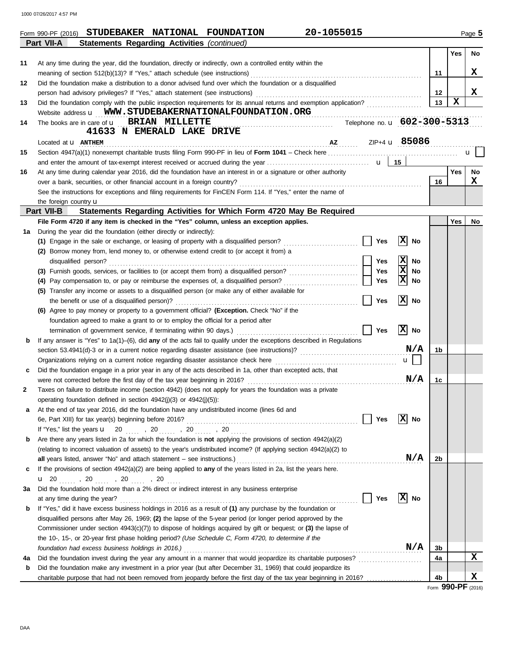1000 07/26/2017 4:57 PM

|    | 20-1055015<br>Form 990-PF (2016) STUDEBAKER NATIONAL FOUNDATION                                                                                         |                |             | Page 5 |
|----|---------------------------------------------------------------------------------------------------------------------------------------------------------|----------------|-------------|--------|
|    | Part VII-A<br><b>Statements Regarding Activities (continued)</b>                                                                                        |                |             |        |
|    |                                                                                                                                                         |                | Yes         | No     |
| 11 | At any time during the year, did the foundation, directly or indirectly, own a controlled entity within the                                             |                |             |        |
|    | meaning of section 512(b)(13)? If "Yes," attach schedule (see instructions)                                                                             | 11             |             | x      |
| 12 | Did the foundation make a distribution to a donor advised fund over which the foundation or a disqualified                                              |                |             |        |
|    | person had advisory privileges? If "Yes," attach statement (see instructions)                                                                           | 12             |             | x      |
| 13 | Did the foundation comply with the public inspection requirements for its annual returns and exemption application?                                     | 13             | $\mathbf x$ |        |
|    | Website address <b>u</b> WWW.STUDEBAKERNATIONALFOUNDATION.ORG                                                                                           |                |             |        |
| 14 | Telephone no. u 602-300-5313<br>The books are in care of <b>u</b> BRIAN MILLETTE                                                                        |                |             |        |
|    | 41633 N EMERALD LAKE DRIVE                                                                                                                              |                |             |        |
|    | ZIP+4 <b>u</b> 85086<br>Located at <b>u</b> ANTHEM                                                                                                      |                |             |        |
| 15 |                                                                                                                                                         |                |             | u      |
|    |                                                                                                                                                         |                |             |        |
| 16 | At any time during calendar year 2016, did the foundation have an interest in or a signature or other authority                                         |                | <b>Yes</b>  | No     |
|    | over a bank, securities, or other financial account in a foreign country?                                                                               | 16             |             | x      |
|    | See the instructions for exceptions and filing requirements for FinCEN Form 114. If "Yes," enter the name of                                            |                |             |        |
|    | the foreign country u                                                                                                                                   |                |             |        |
|    | Part VII-B<br>Statements Regarding Activities for Which Form 4720 May Be Required                                                                       |                |             |        |
|    | File Form 4720 if any item is checked in the "Yes" column, unless an exception applies.                                                                 |                | Yes         | No     |
| 1a | During the year did the foundation (either directly or indirectly):                                                                                     |                |             |        |
|    | X <br>(1) Engage in the sale or exchange, or leasing of property with a disqualified person?<br>Yes<br>No                                               |                |             |        |
|    | (2) Borrow money from, lend money to, or otherwise extend credit to (or accept it from) a                                                               |                |             |        |
|    | x <br>disqualified person?<br>No<br>Yes                                                                                                                 |                |             |        |
|    | 区<br>Yes<br>(3) Furnish goods, services, or facilities to (or accept them from) a disqualified person?<br>No                                            |                |             |        |
|    | x<br>(4) Pay compensation to, or pay or reimburse the expenses of, a disqualified person?<br>Yes<br>No                                                  |                |             |        |
|    | (5) Transfer any income or assets to a disqualified person (or make any of either available for                                                         |                |             |        |
|    | x <br>No<br>the benefit or use of a disqualified person)?<br>Yes                                                                                        |                |             |        |
|    | (6) Agree to pay money or property to a government official? (Exception. Check "No" if the                                                              |                |             |        |
|    | foundation agreed to make a grant to or to employ the official for a period after                                                                       |                |             |        |
|    | x <br>Yes<br>No<br>termination of government service, if terminating within 90 days.)                                                                   |                |             |        |
| b  | If any answer is "Yes" to $1a(1)$ –(6), did any of the acts fail to qualify under the exceptions described in Regulations                               |                |             |        |
|    | N/A                                                                                                                                                     | 1b             |             |        |
|    | Organizations relying on a current notice regarding disaster assistance check here<br>$\mathbf{u}$                                                      |                |             |        |
| с  | Did the foundation engage in a prior year in any of the acts described in 1a, other than excepted acts, that                                            |                |             |        |
|    | N/A<br>were not corrected before the first day of the tax year beginning in 2016?                                                                       | 1c             |             |        |
| 2  | Taxes on failure to distribute income (section 4942) (does not apply for years the foundation was a private                                             |                |             |        |
|    | operating foundation defined in section 4942(j)(3) or 4942(j)(5)):                                                                                      |                |             |        |
| а  | At the end of tax year 2016, did the foundation have any undistributed income (lines 6d and                                                             |                |             |        |
|    | X <br>6e, Part XIII) for tax year(s) beginning before 2016?<br>Yes<br>No                                                                                |                |             |        |
|    | If "Yes," list the years $\mathbf{u} = 20$ , 20 , 20  20                                                                                                |                |             |        |
| b  | Are there any years listed in 2a for which the foundation is <b>not</b> applying the provisions of section $4942(a)(2)$                                 |                |             |        |
|    | (relating to incorrect valuation of assets) to the year's undistributed income? (If applying section 4942(a)(2) to                                      |                |             |        |
|    | N/A<br>all years listed, answer "No" and attach statement - see instructions.) [11] years listed, answer "No" and attach statement - see instructions.) | 2b             |             |        |
| c  | If the provisions of section 4942(a)(2) are being applied to any of the years listed in 2a, list the years here.                                        |                |             |        |
|    |                                                                                                                                                         |                |             |        |
| За | Did the foundation hold more than a 2% direct or indirect interest in any business enterprise                                                           |                |             |        |
|    | X <br>Yes<br>No<br>at any time during the year?                                                                                                         |                |             |        |
| b  | If "Yes," did it have excess business holdings in 2016 as a result of (1) any purchase by the foundation or                                             |                |             |        |
|    |                                                                                                                                                         |                |             |        |
|    | disqualified persons after May 26, 1969; (2) the lapse of the 5-year period (or longer period approved by the                                           |                |             |        |
|    | Commissioner under section $4943(c)(7)$ to dispose of holdings acquired by gift or bequest; or (3) the lapse of                                         |                |             |        |
|    | the 10-, 15-, or 20-year first phase holding period? (Use Schedule C, Form 4720, to determine if the                                                    |                |             |        |
|    | N/A<br>foundation had excess business holdings in 2016.)                                                                                                | 3b             |             | X      |
| 4a | Did the foundation invest during the year any amount in a manner that would jeopardize its charitable purposes?                                         | 4a             |             |        |
| b  | Did the foundation make any investment in a prior year (but after December 31, 1969) that could jeopardize its                                          |                |             |        |
|    | charitable purpose that had not been removed from jeopardy before the first day of the tax year beginning in 2016?                                      | 4 <sub>b</sub> |             | X      |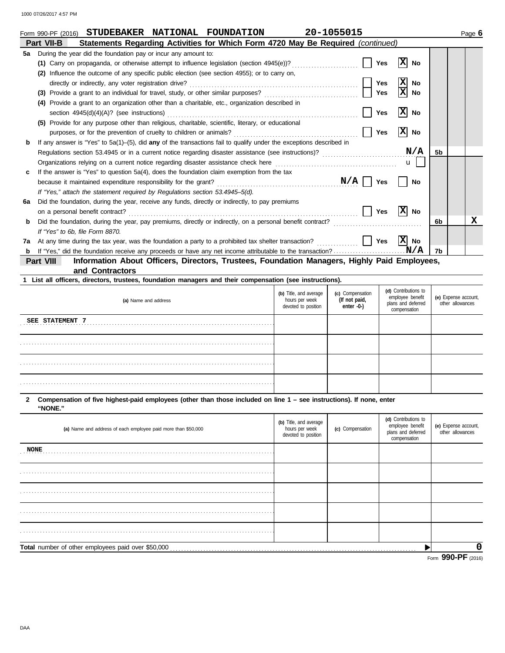|    | 20-1055015<br>STUDEBAKER NATIONAL FOUNDATION<br>Form 990-PF (2016)                                                    |                              |                | Page 6 |
|----|-----------------------------------------------------------------------------------------------------------------------|------------------------------|----------------|--------|
|    | Statements Regarding Activities for Which Form 4720 May Be Required (continued)<br>Part VII-B                         |                              |                |        |
| 5a | During the year did the foundation pay or incur any amount to:                                                        |                              |                |        |
|    | (1) Carry on propaganda, or otherwise attempt to influence legislation (section 4945(e))?                             | <b>Yes</b><br>No             |                |        |
|    | Influence the outcome of any specific public election (see section 4955); or to carry on,<br>(2)                      |                              |                |        |
|    | directly or indirectly, any voter registration drive?                                                                 | X<br><b>Yes</b><br><b>No</b> |                |        |
|    | Provide a grant to an individual for travel, study, or other similar purposes?<br>(3)                                 | Yes<br>No                    |                |        |
|    | Provide a grant to an organization other than a charitable, etc., organization described in<br>(4)                    |                              |                |        |
|    | section $4945(d)(4)(A)?$ (see instructions)                                                                           | x <br><b>Yes</b><br>No       |                |        |
|    | Provide for any purpose other than religious, charitable, scientific, literary, or educational<br>(5)                 |                              |                |        |
|    | purposes, or for the prevention of cruelty to children or animals?                                                    | X <br><b>Yes</b><br>No       |                |        |
| b  | If any answer is "Yes" to $5a(1)$ –(5), did any of the transactions fail to qualify under the exceptions described in |                              |                |        |
|    | Regulations section 53.4945 or in a current notice regarding disaster assistance (see instructions)?                  | N/A                          | 5 <sub>b</sub> |        |
|    | Organizations relying on a current notice regarding disaster assistance check here                                    | $\mathbf{u}$                 |                |        |
| c  | If the answer is "Yes" to question 5a(4), does the foundation claim exemption from the tax                            |                              |                |        |
|    | N/A<br>because it maintained expenditure responsibility for the grant?                                                | Yes<br><b>No</b>             |                |        |
|    | If "Yes," attach the statement required by Regulations section 53.4945–5(d).                                          |                              |                |        |
| 6а | Did the foundation, during the year, receive any funds, directly or indirectly, to pay premiums                       |                              |                |        |
|    | on a personal benefit contract?                                                                                       | x <br><b>Yes</b><br>No       |                |        |
| b  | Did the foundation, during the year, pay premiums, directly or indirectly, on a personal benefit contract?            |                              | 6b             | х      |
|    | If "Yes" to 6b, file Form 8870.                                                                                       |                              |                |        |
| 7a | At any time during the tax year, was the foundation a party to a prohibited tax shelter transaction?                  | X <br><b>Yes</b><br>No       |                |        |
| b  |                                                                                                                       | N/A                          | 7b             |        |

**and Contractors Part VIII Information About Officers, Directors, Trustees, Foundation Managers, Highly Paid Employees,**

| 1 List all officers, directors, trustees, foundation managers and their compensation (see instructions). |                                                                 |                                                 |                                                                                |                                          |  |  |  |  |
|----------------------------------------------------------------------------------------------------------|-----------------------------------------------------------------|-------------------------------------------------|--------------------------------------------------------------------------------|------------------------------------------|--|--|--|--|
| (a) Name and address                                                                                     | (b) Title, and average<br>hours per week<br>devoted to position | (c) Compensation<br>(If not paid,<br>enter -0-) | (d) Contributions to<br>employee benefit<br>plans and deferred<br>compensation | (e) Expense account,<br>other allowances |  |  |  |  |
| SEE STATEMENT 7                                                                                          |                                                                 |                                                 |                                                                                |                                          |  |  |  |  |
|                                                                                                          |                                                                 |                                                 |                                                                                |                                          |  |  |  |  |
|                                                                                                          |                                                                 |                                                 |                                                                                |                                          |  |  |  |  |
|                                                                                                          |                                                                 |                                                 |                                                                                |                                          |  |  |  |  |

**"NONE." 2 Compensation of five highest-paid employees (other than those included on line 1 – see instructions). If none, enter**

| (a) Name and address of each employee paid more than \$50,000 | (b) Title, and average<br>hours per week<br>devoted to position | (c) Compensation | (d) Contributions to<br>employee benefit<br>plans and deferred<br>compensation | (e) Expense account,<br>other allowances |
|---------------------------------------------------------------|-----------------------------------------------------------------|------------------|--------------------------------------------------------------------------------|------------------------------------------|
| <b>NONE</b>                                                   |                                                                 |                  |                                                                                |                                          |
|                                                               |                                                                 |                  |                                                                                |                                          |
|                                                               |                                                                 |                  |                                                                                |                                          |
|                                                               |                                                                 |                  |                                                                                |                                          |
|                                                               |                                                                 |                  |                                                                                |                                          |
|                                                               |                                                                 |                  |                                                                                | 0                                        |
|                                                               |                                                                 |                  |                                                                                | $Form$ 990-PF $(2016)$                   |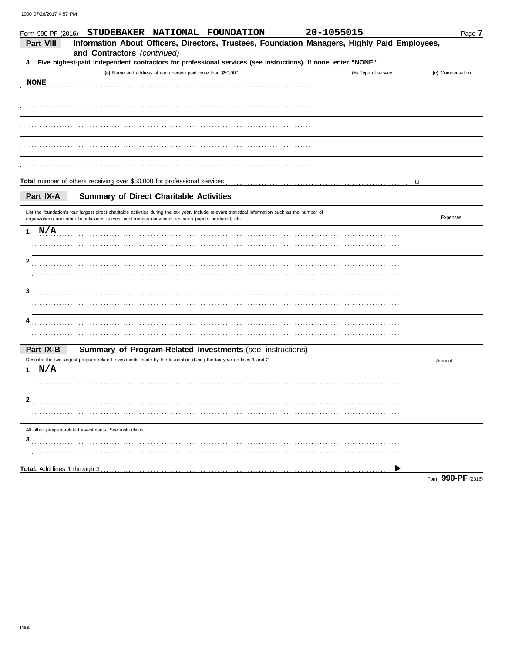| Form 990-PF (2016) | STUDEBAKER NATIONAL FOUNDATION                                                                                                                                                                                                                            | 20-1055015 |                     |        | Page 7           |
|--------------------|-----------------------------------------------------------------------------------------------------------------------------------------------------------------------------------------------------------------------------------------------------------|------------|---------------------|--------|------------------|
| <b>Part VIII</b>   | Information About Officers, Directors, Trustees, Foundation Managers, Highly Paid Employees,<br>and Contractors (continued)                                                                                                                               |            |                     |        |                  |
| 3                  | Five highest-paid independent contractors for professional services (see instructions). If none, enter "NONE."                                                                                                                                            |            |                     |        |                  |
|                    | (a) Name and address of each person paid more than \$50,000                                                                                                                                                                                               |            | (b) Type of service |        | (c) Compensation |
| <b>NONE</b>        |                                                                                                                                                                                                                                                           |            |                     |        |                  |
|                    |                                                                                                                                                                                                                                                           |            |                     |        |                  |
|                    |                                                                                                                                                                                                                                                           |            |                     |        |                  |
|                    |                                                                                                                                                                                                                                                           |            |                     |        |                  |
|                    |                                                                                                                                                                                                                                                           |            |                     |        |                  |
|                    |                                                                                                                                                                                                                                                           |            |                     | u      |                  |
| Part IX-A          | <b>Summary of Direct Charitable Activities</b>                                                                                                                                                                                                            |            |                     |        |                  |
|                    | List the foundation's four largest direct charitable activities during the tax year. Include relevant statistical information such as the number of<br>organizations and other beneficiaries served, conferences convened, research papers produced, etc. |            |                     |        | Expenses         |
| 1 N/A              |                                                                                                                                                                                                                                                           |            |                     |        |                  |
|                    |                                                                                                                                                                                                                                                           |            |                     |        |                  |
| 2                  |                                                                                                                                                                                                                                                           |            |                     |        |                  |
|                    |                                                                                                                                                                                                                                                           |            |                     |        |                  |
| 3                  |                                                                                                                                                                                                                                                           |            |                     |        |                  |
|                    |                                                                                                                                                                                                                                                           |            |                     |        |                  |
| 4                  |                                                                                                                                                                                                                                                           |            |                     |        |                  |
|                    |                                                                                                                                                                                                                                                           |            |                     |        |                  |
| Part IX-B          | Summary of Program-Related Investments (see instructions)                                                                                                                                                                                                 |            |                     |        |                  |
|                    | Describe the two largest program-related investments made by the foundation during the tax year on lines 1 and 2.                                                                                                                                         |            |                     | Amount |                  |
| 1 $N/A$            |                                                                                                                                                                                                                                                           |            |                     |        |                  |
|                    |                                                                                                                                                                                                                                                           |            |                     |        |                  |
| 2                  |                                                                                                                                                                                                                                                           |            |                     |        |                  |
|                    |                                                                                                                                                                                                                                                           |            |                     |        |                  |
|                    | All other program-related investments. See instructions.                                                                                                                                                                                                  |            |                     |        |                  |
| 3                  |                                                                                                                                                                                                                                                           |            |                     |        |                  |
|                    |                                                                                                                                                                                                                                                           |            |                     |        |                  |
|                    |                                                                                                                                                                                                                                                           |            |                     |        |                  |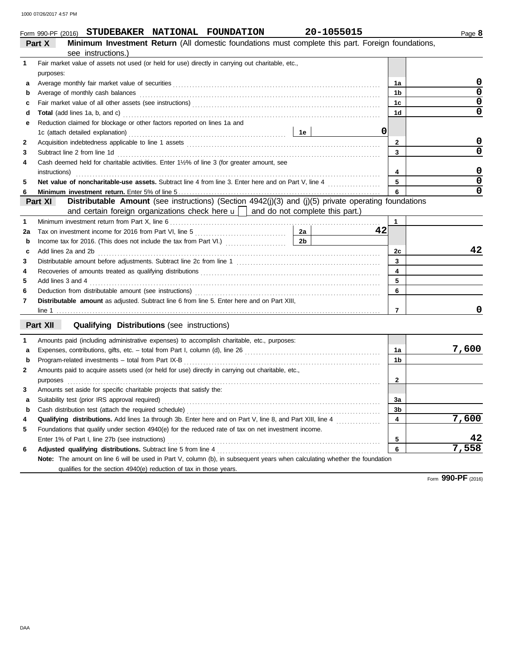|                             |  | Form 990-PF (2016) STUDEBAKER NATIONAL FOUNDATION | 20-1055015                                                                                            |
|-----------------------------|--|---------------------------------------------------|-------------------------------------------------------------------------------------------------------|
| $\sim$ $\sim$ $\sim$ $\sim$ |  |                                                   | . Albertarium Incorporation of Material (All classically formulations procedure consistentially prope |

|              | <b>Minimum Investment Return</b> (All domestic foundations must complete this part. Foreign foundations,<br>Part X         |                |                         |
|--------------|----------------------------------------------------------------------------------------------------------------------------|----------------|-------------------------|
|              | see instructions.)                                                                                                         |                |                         |
| $\mathbf{1}$ | Fair market value of assets not used (or held for use) directly in carrying out charitable, etc.,                          |                |                         |
|              | purposes:                                                                                                                  |                |                         |
| а            |                                                                                                                            | 1a             | 0                       |
| b            | Average of monthly cash balances                                                                                           | 1b             | $\overline{\mathbf{0}}$ |
| c            |                                                                                                                            | 1 <sub>c</sub> | $\pmb{0}$               |
| d            |                                                                                                                            | 1 <sub>d</sub> | $\overline{0}$          |
| е            | Reduction claimed for blockage or other factors reported on lines 1a and                                                   |                |                         |
|              | 0                                                                                                                          |                |                         |
| 2            |                                                                                                                            | 2              | 0                       |
| 3            | Subtract line 2 from line 1d                                                                                               | 3              | $\overline{0}$          |
| 4            | Cash deemed held for charitable activities. Enter 1½% of line 3 (for greater amount, see                                   |                |                         |
|              | instructions)                                                                                                              | 4              | $\mathbf 0$             |
| 5            |                                                                                                                            | 5              | $\overline{\mathbf{0}}$ |
| 6            |                                                                                                                            | 6              | $\overline{0}$          |
|              | Distributable Amount (see instructions) (Section 4942(j)(3) and (j)(5) private operating foundations<br>Part XI            |                |                         |
|              | and certain foreign organizations check here $\mathbf{u}$   and do not complete this part.)                                |                |                         |
| 1            |                                                                                                                            | 1              |                         |
| 2a           | 2a<br>42                                                                                                                   |                |                         |
| b            | 2 <sub>b</sub>                                                                                                             |                |                         |
| c            | Add lines 2a and 2b                                                                                                        | 2c             | 42                      |
| 3            |                                                                                                                            | 3              |                         |
| 4            |                                                                                                                            | 4              |                         |
| 5            | Add lines 3 and 4                                                                                                          | 5              |                         |
| 6            |                                                                                                                            | 6              |                         |
| 7            | Distributable amount as adjusted. Subtract line 6 from line 5. Enter here and on Part XIII,                                |                |                         |
|              |                                                                                                                            | $\overline{7}$ | 0                       |
|              | Part XII<br><b>Qualifying Distributions (see instructions)</b>                                                             |                |                         |
| 1            | Amounts paid (including administrative expenses) to accomplish charitable, etc., purposes:                                 |                |                         |
| a            |                                                                                                                            | 1a             | 7,600                   |
| b            | Program-related investments - total from Part IX-B                                                                         | 1b             |                         |
| 2            | Amounts paid to acquire assets used (or held for use) directly in carrying out charitable, etc.,                           |                |                         |
|              | purposes                                                                                                                   | $\mathbf{2}$   |                         |
| 3            | Amounts set aside for specific charitable projects that satisfy the:                                                       |                |                         |
| a            | Suitability test (prior IRS approval required)                                                                             | 3a             |                         |
|              |                                                                                                                            | 3 <sub>b</sub> |                         |
| 4            | Qualifying distributions. Add lines 1a through 3b. Enter here and on Part V, line 8, and Part XIII, line 4                 | 4              | 7,600                   |
| 5            | Foundations that qualify under section 4940(e) for the reduced rate of tax on net investment income.                       |                |                         |
|              |                                                                                                                            | 5              | 42                      |
| 6            | Adjusted qualifying distributions. Subtract line 5 from line 4                                                             | 6              | 7,558                   |
|              | Note: The amount on line 6 will be used in Part V, column (b), in subsequent years when calculating whether the foundation |                |                         |
|              | qualifies for the section 4940(e) reduction of tax in those years.                                                         |                |                         |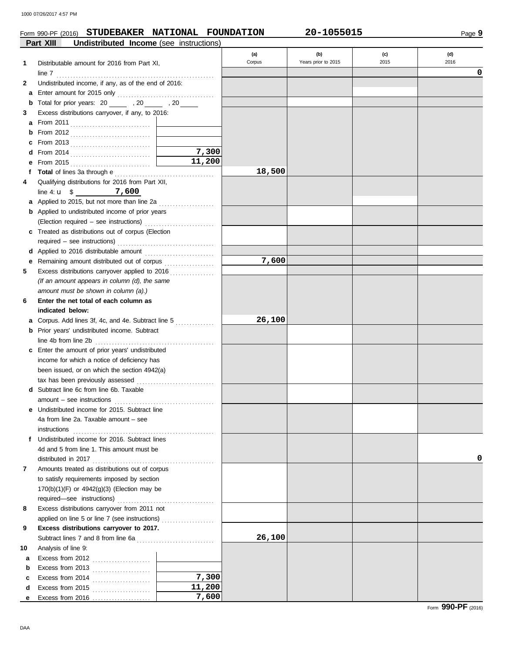## Form 990-PF (2016) **STUDEBAKER NATIONAL FOUNDATION 20-1055015**

Page **9**

|    | <b>Undistributed Income</b> (see instructions)<br>Part XIII                                     |        |        |                     |      |      |
|----|-------------------------------------------------------------------------------------------------|--------|--------|---------------------|------|------|
|    |                                                                                                 |        | (a)    | (b)                 | (c)  | (d)  |
| 1  | Distributable amount for 2016 from Part XI,                                                     |        | Corpus | Years prior to 2015 | 2015 | 2016 |
|    |                                                                                                 |        |        |                     |      | 0    |
| 2  | Undistributed income, if any, as of the end of 2016:                                            |        |        |                     |      |      |
|    |                                                                                                 |        |        |                     |      |      |
| b  | Total for prior years: 20 ______ , 20 _____ , 20 _____                                          |        |        |                     |      |      |
| 3  | Excess distributions carryover, if any, to 2016:                                                |        |        |                     |      |      |
|    |                                                                                                 |        |        |                     |      |      |
| b  |                                                                                                 |        |        |                     |      |      |
| c  | From 2013 $\ldots$                                                                              |        |        |                     |      |      |
| d  |                                                                                                 | 7,300  |        |                     |      |      |
| е  |                                                                                                 | 11,200 |        |                     |      |      |
| f  |                                                                                                 |        | 18,500 |                     |      |      |
| 4  | Qualifying distributions for 2016 from Part XII,                                                |        |        |                     |      |      |
|    | line 4: $\mathbf{u}$ \$ 7,600                                                                   |        |        |                     |      |      |
|    | <b>a</b> Applied to 2015, but not more than line 2a                                             |        |        |                     |      |      |
|    | .<br><b>b</b> Applied to undistributed income of prior years                                    |        |        |                     |      |      |
|    | (Election required - see instructions)                                                          |        |        |                     |      |      |
|    | c Treated as distributions out of corpus (Election                                              |        |        |                     |      |      |
|    |                                                                                                 |        |        |                     |      |      |
|    |                                                                                                 |        |        |                     |      |      |
| е  | Remaining amount distributed out of corpus [11] [11] Remaining amount distributed out of corpus |        | 7,600  |                     |      |      |
| 5  |                                                                                                 |        |        |                     |      |      |
|    | (If an amount appears in column (d), the same                                                   |        |        |                     |      |      |
|    | amount must be shown in column (a).)                                                            |        |        |                     |      |      |
| 6  | Enter the net total of each column as                                                           |        |        |                     |      |      |
|    | indicated below:                                                                                |        |        |                     |      |      |
|    | Corpus. Add lines 3f, 4c, and 4e. Subtract line 5                                               |        | 26,100 |                     |      |      |
| a  |                                                                                                 |        |        |                     |      |      |
|    | <b>b</b> Prior years' undistributed income. Subtract                                            |        |        |                     |      |      |
|    | line 4b from line 2b                                                                            |        |        |                     |      |      |
|    | <b>c</b> Enter the amount of prior years' undistributed                                         |        |        |                     |      |      |
|    | income for which a notice of deficiency has                                                     |        |        |                     |      |      |
|    | been issued, or on which the section 4942(a)                                                    |        |        |                     |      |      |
|    | tax has been previously assessed                                                                |        |        |                     |      |      |
|    | <b>d</b> Subtract line 6c from line 6b. Taxable                                                 |        |        |                     |      |      |
|    | $amount - see instructions$                                                                     |        |        |                     |      |      |
|    | e Undistributed income for 2015. Subtract line                                                  |        |        |                     |      |      |
|    | 4a from line 2a. Taxable amount - see                                                           |        |        |                     |      |      |
|    | instructions<br>f Undistributed income for 2016. Subtract lines                                 |        |        |                     |      |      |
|    |                                                                                                 |        |        |                     |      |      |
|    | 4d and 5 from line 1. This amount must be                                                       |        |        |                     |      | o    |
|    |                                                                                                 |        |        |                     |      |      |
| 7  | Amounts treated as distributions out of corpus                                                  |        |        |                     |      |      |
|    | to satisfy requirements imposed by section                                                      |        |        |                     |      |      |
|    | 170(b)(1)(F) or 4942(g)(3) (Election may be                                                     |        |        |                     |      |      |
|    |                                                                                                 |        |        |                     |      |      |
| 8  | Excess distributions carryover from 2011 not                                                    |        |        |                     |      |      |
|    | applied on line 5 or line 7 (see instructions)                                                  |        |        |                     |      |      |
| 9  | Excess distributions carryover to 2017.                                                         |        |        |                     |      |      |
|    |                                                                                                 |        | 26,100 |                     |      |      |
| 10 | Analysis of line 9:                                                                             |        |        |                     |      |      |
| a  | Excess from 2012                                                                                |        |        |                     |      |      |
| b  | Excess from 2013                                                                                |        |        |                     |      |      |
| c  | Excess from 2014                                                                                | 7,300  |        |                     |      |      |
| d  | Excess from 2015 $\ldots$                                                                       | 11,200 |        |                     |      |      |
| е  | Excess from $2016$                                                                              | 7,600  |        |                     |      |      |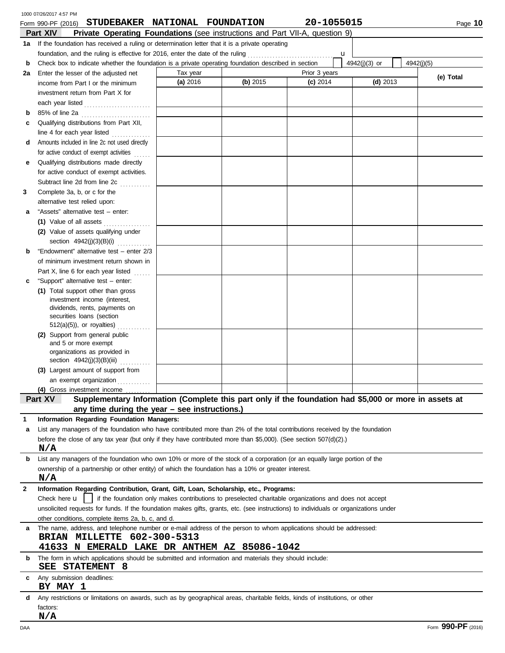|              | 1000 07/26/2017 4:57 PM                                                                                                                                                                                                         |                      |          |                                                                                                        |               |            |
|--------------|---------------------------------------------------------------------------------------------------------------------------------------------------------------------------------------------------------------------------------|----------------------|----------|--------------------------------------------------------------------------------------------------------|---------------|------------|
|              | STUDEBAKER NATIONAL FOUNDATION<br>Form 990-PF (2016)                                                                                                                                                                            |                      |          | 20-1055015                                                                                             |               | Page 10    |
|              | Part XIV<br><b>Private Operating Foundations</b> (see instructions and Part VII-A, question 9)                                                                                                                                  |                      |          |                                                                                                        |               |            |
|              | 1a If the foundation has received a ruling or determination letter that it is a private operating                                                                                                                               |                      |          |                                                                                                        |               |            |
|              | foundation, and the ruling is effective for 2016, enter the date of the ruling                                                                                                                                                  |                      |          | u                                                                                                      |               |            |
| b            | Check box to indicate whether the foundation is a private operating foundation described in section                                                                                                                             |                      |          |                                                                                                        | 4942(j)(3) or | 4942(i)(5) |
| 2a           | Enter the lesser of the adjusted net                                                                                                                                                                                            | Tax year<br>(a) 2016 | (b) 2015 | Prior 3 years<br>$(c)$ 2014                                                                            | $(d)$ 2013    | (e) Total  |
|              | income from Part I or the minimum                                                                                                                                                                                               |                      |          |                                                                                                        |               |            |
|              | investment return from Part X for                                                                                                                                                                                               |                      |          |                                                                                                        |               |            |
|              | each year listed                                                                                                                                                                                                                |                      |          |                                                                                                        |               |            |
| b            | 85% of line 2a                                                                                                                                                                                                                  |                      |          |                                                                                                        |               |            |
| c            | Qualifying distributions from Part XII,                                                                                                                                                                                         |                      |          |                                                                                                        |               |            |
|              | line 4 for each year listed                                                                                                                                                                                                     |                      |          |                                                                                                        |               |            |
| d            | Amounts included in line 2c not used directly                                                                                                                                                                                   |                      |          |                                                                                                        |               |            |
| е            | for active conduct of exempt activities<br>Qualifying distributions made directly                                                                                                                                               |                      |          |                                                                                                        |               |            |
|              | for active conduct of exempt activities.                                                                                                                                                                                        |                      |          |                                                                                                        |               |            |
|              | Subtract line 2d from line 2c                                                                                                                                                                                                   |                      |          |                                                                                                        |               |            |
| 3            | in de la provincia del<br>Complete 3a, b, or c for the                                                                                                                                                                          |                      |          |                                                                                                        |               |            |
|              | alternative test relied upon:                                                                                                                                                                                                   |                      |          |                                                                                                        |               |            |
| а            | "Assets" alternative test - enter:                                                                                                                                                                                              |                      |          |                                                                                                        |               |            |
|              | (1) Value of all assets                                                                                                                                                                                                         |                      |          |                                                                                                        |               |            |
|              | (2) Value of assets qualifying under                                                                                                                                                                                            |                      |          |                                                                                                        |               |            |
|              | section 4942(j)(3)(B)(i)                                                                                                                                                                                                        |                      |          |                                                                                                        |               |            |
| b            | "Endowment" alternative test - enter 2/3                                                                                                                                                                                        |                      |          |                                                                                                        |               |            |
|              | of minimum investment return shown in                                                                                                                                                                                           |                      |          |                                                                                                        |               |            |
|              | Part X, line 6 for each year listed<br>.                                                                                                                                                                                        |                      |          |                                                                                                        |               |            |
| c            | "Support" alternative test - enter:                                                                                                                                                                                             |                      |          |                                                                                                        |               |            |
|              | (1) Total support other than gross                                                                                                                                                                                              |                      |          |                                                                                                        |               |            |
|              | investment income (interest,                                                                                                                                                                                                    |                      |          |                                                                                                        |               |            |
|              | dividends, rents, payments on                                                                                                                                                                                                   |                      |          |                                                                                                        |               |            |
|              | securities loans (section                                                                                                                                                                                                       |                      |          |                                                                                                        |               |            |
|              | $512(a)(5)$ , or royalties)                                                                                                                                                                                                     |                      |          |                                                                                                        |               |            |
|              | (2) Support from general public<br>and 5 or more exempt                                                                                                                                                                         |                      |          |                                                                                                        |               |            |
|              | organizations as provided in                                                                                                                                                                                                    |                      |          |                                                                                                        |               |            |
|              | section 4942(j)(3)(B)(iii)                                                                                                                                                                                                      |                      |          |                                                                                                        |               |            |
|              | (3) Largest amount of support from                                                                                                                                                                                              |                      |          |                                                                                                        |               |            |
|              | an exempt organization                                                                                                                                                                                                          |                      |          |                                                                                                        |               |            |
|              | (4) Gross investment income                                                                                                                                                                                                     |                      |          |                                                                                                        |               |            |
|              | Supplementary Information (Complete this part only if the foundation had \$5,000 or more in assets at<br>Part XV                                                                                                                |                      |          |                                                                                                        |               |            |
|              | any time during the year - see instructions.)                                                                                                                                                                                   |                      |          |                                                                                                        |               |            |
|              | Information Regarding Foundation Managers:                                                                                                                                                                                      |                      |          |                                                                                                        |               |            |
| a            | List any managers of the foundation who have contributed more than 2% of the total contributions received by the foundation                                                                                                     |                      |          |                                                                                                        |               |            |
|              | before the close of any tax year (but only if they have contributed more than \$5,000). (See section $507(d)(2)$ .)                                                                                                             |                      |          |                                                                                                        |               |            |
|              | N/A                                                                                                                                                                                                                             |                      |          |                                                                                                        |               |            |
| b            | List any managers of the foundation who own 10% or more of the stock of a corporation (or an equally large portion of the<br>ownership of a partnership or other entity) of which the foundation has a 10% or greater interest. |                      |          |                                                                                                        |               |            |
|              | N/A                                                                                                                                                                                                                             |                      |          |                                                                                                        |               |            |
| $\mathbf{2}$ | Information Regarding Contribution, Grant, Gift, Loan, Scholarship, etc., Programs:                                                                                                                                             |                      |          |                                                                                                        |               |            |
|              | Check here <b>u</b>                                                                                                                                                                                                             |                      |          | if the foundation only makes contributions to preselected charitable organizations and does not accept |               |            |
|              | unsolicited requests for funds. If the foundation makes gifts, grants, etc. (see instructions) to individuals or organizations under                                                                                            |                      |          |                                                                                                        |               |            |
|              | other conditions, complete items 2a, b, c, and d.                                                                                                                                                                               |                      |          |                                                                                                        |               |            |
| a            | The name, address, and telephone number or e-mail address of the person to whom applications should be addressed:                                                                                                               |                      |          |                                                                                                        |               |            |
|              | BRIAN MILLETTE 602-300-5313                                                                                                                                                                                                     |                      |          |                                                                                                        |               |            |
|              | 41633 N EMERALD LAKE DR ANTHEM AZ 85086-1042                                                                                                                                                                                    |                      |          |                                                                                                        |               |            |
| b            | The form in which applications should be submitted and information and materials they should include:                                                                                                                           |                      |          |                                                                                                        |               |            |
| С            | STATEMENT 8<br>SEE<br>Any submission deadlines:                                                                                                                                                                                 |                      |          |                                                                                                        |               |            |
|              | BY MAY 1                                                                                                                                                                                                                        |                      |          |                                                                                                        |               |            |
| d            | Any restrictions or limitations on awards, such as by geographical areas, charitable fields, kinds of institutions, or other                                                                                                    |                      |          |                                                                                                        |               |            |
|              | factors:                                                                                                                                                                                                                        |                      |          |                                                                                                        |               |            |
|              | N/A                                                                                                                                                                                                                             |                      |          |                                                                                                        |               | 000 DE     |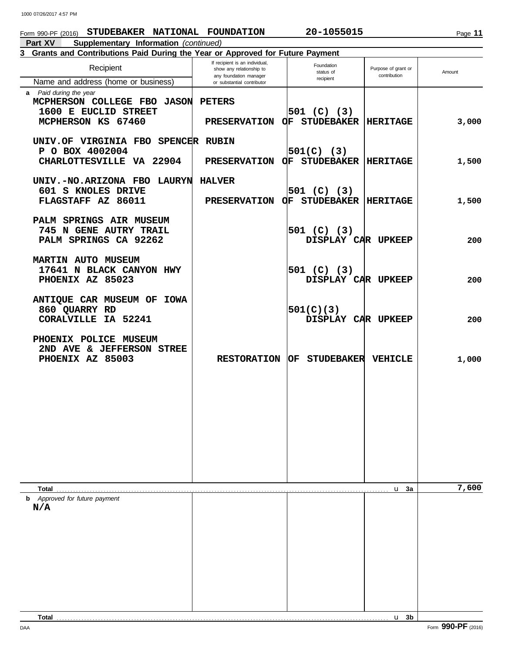# Form 990-PF (2016) **STUDEBAKER NATIONAL FOUNDATION 20-1055015**

**Part XV Supplementary Information** *(continued)*

# **3 Grants and Contributions Paid During the Year or Approved for Future Payment**

| Recipient                                                                                           | If recipient is an individual,<br>show any relationship to<br>any foundation manager | Foundation<br>status of                | Purpose of grant or<br>contribution | Amount |
|-----------------------------------------------------------------------------------------------------|--------------------------------------------------------------------------------------|----------------------------------------|-------------------------------------|--------|
| Name and address (home or business)                                                                 | or substantial contributor                                                           | recipient                              |                                     |        |
| a Paid during the year<br>MCPHERSON COLLEGE FBO JASON<br>1600 E EUCLID STREET<br>MCPHERSON KS 67460 | <b>PETERS</b><br><b>PRESERVATION</b>                                                 | 501 (C) (3) <br>OF STUDEBAKER HERITAGE |                                     | 3,000  |
| UNIV.OF VIRGINIA FBO SPENCER RUBIN<br>P O BOX 4002004                                               |                                                                                      |                                        |                                     |        |
| CHARLOTTESVILLE VA 22904                                                                            | <b>PRESERVATION</b>                                                                  | 501(C) (3) <br>OF STUDEBAKER HERITAGE  |                                     | 1,500  |
| UNIV.-NO.ARIZONA FBO LAURYN<br>601 S KNOLES DRIVE<br>FLAGSTAFF AZ 86011                             | <b>HALVER</b><br>PRESERVATION OF STUDEBAKER HERITAGE                                 | 501 (C) (3)                            |                                     | 1,500  |
| PALM SPRINGS AIR MUSEUM<br>745 N GENE AUTRY TRAIL<br>PALM SPRINGS CA 92262                          |                                                                                      | 501 (C) (3) <br>DISPLAY CAR UPKEEP     |                                     | 200    |
| <b>MARTIN AUTO MUSEUM</b><br>17641 N BLACK CANYON HWY<br>PHOENIX AZ 85023                           |                                                                                      | 501 (C) (3) <br>DISPLAY CAR UPKEEP     |                                     | 200    |
| ANTIQUE CAR MUSEUM OF IOWA<br>860 QUARRY RD<br><b>CORALVILLE IA 52241</b>                           |                                                                                      | 501(C)(3)<br>DISPLAY CAR UPKEEP        |                                     | 200    |
| PHOENIX POLICE MUSEUM<br>2ND AVE & JEFFERSON STREE<br>PHOENIX AZ 85003                              | <b>RESTORATION</b>                                                                   | <b>OF STUDEBAKER</b>                   | <b>VEHICLE</b>                      | 1,000  |
|                                                                                                     |                                                                                      |                                        |                                     |        |
|                                                                                                     |                                                                                      |                                        |                                     |        |
|                                                                                                     |                                                                                      |                                        |                                     |        |
|                                                                                                     |                                                                                      |                                        |                                     |        |
| Total                                                                                               |                                                                                      |                                        | u <sub>3a</sub>                     | 7,600  |
| <b>b</b> Approved for future payment                                                                |                                                                                      |                                        |                                     |        |
| N/A                                                                                                 |                                                                                      |                                        |                                     |        |
|                                                                                                     |                                                                                      |                                        |                                     |        |
|                                                                                                     |                                                                                      |                                        |                                     |        |
|                                                                                                     |                                                                                      |                                        |                                     |        |
|                                                                                                     |                                                                                      |                                        |                                     |        |
|                                                                                                     |                                                                                      |                                        |                                     |        |
|                                                                                                     |                                                                                      |                                        |                                     |        |
|                                                                                                     |                                                                                      |                                        |                                     |        |
|                                                                                                     |                                                                                      |                                        |                                     |        |
| <b>Total</b>                                                                                        |                                                                                      |                                        | $u$ 3b                              |        |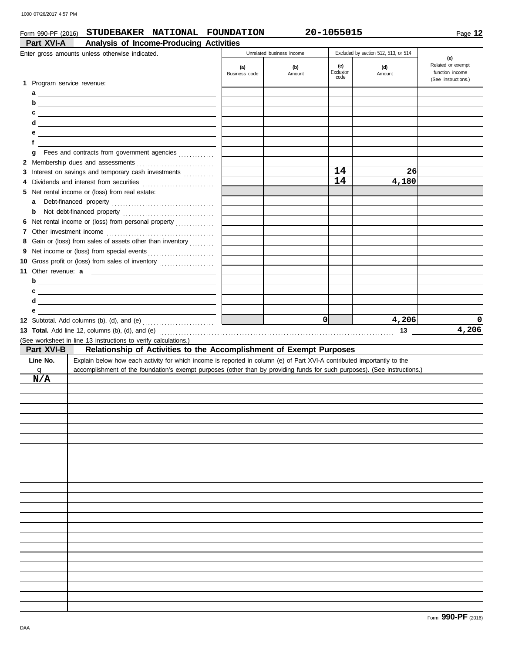# Form 990-PF (2016) **STUDEBAKER NATIONAL FOUNDATION 20-1055015**

Page **12**

| Part XVI-A                 | Analysis of Income-Producing Activities                                                                                   |               |                           |                   |                                      |                                        |
|----------------------------|---------------------------------------------------------------------------------------------------------------------------|---------------|---------------------------|-------------------|--------------------------------------|----------------------------------------|
|                            | Enter gross amounts unless otherwise indicated.                                                                           |               | Unrelated business income |                   | Excluded by section 512, 513, or 514 | (e)                                    |
|                            |                                                                                                                           | (a)           | (b)                       | (c)               | (d)                                  | Related or exempt                      |
|                            |                                                                                                                           | Business code | Amount                    | Exclusion<br>code | Amount                               | function income<br>(See instructions.) |
| 1 Program service revenue: |                                                                                                                           |               |                           |                   |                                      |                                        |
|                            |                                                                                                                           |               |                           |                   |                                      |                                        |
| b                          | <u> 1989 - Johann Stein, fransk politik (d. 1989)</u>                                                                     |               |                           |                   |                                      |                                        |
| c                          | <u> 1989 - Johann Harry Barn, mars ar breist fan de Amerikaansk kommunent fan de Amerikaanske kommunent fan de A</u>      |               |                           |                   |                                      |                                        |
| d                          | <u> 1989 - Andrea Andrew Maria (h. 1989).</u>                                                                             |               |                           |                   |                                      |                                        |
| е                          | <u> 1989 - Johann Harry Barn, mars ar breist fan de Fryske kommunent fan de Fryske kommunent fan de Fryske kommun</u>     |               |                           |                   |                                      |                                        |
| f                          |                                                                                                                           |               |                           |                   |                                      |                                        |
| g                          |                                                                                                                           |               |                           |                   |                                      |                                        |
|                            |                                                                                                                           |               |                           |                   |                                      |                                        |
|                            | 3 Interest on savings and temporary cash investments                                                                      |               |                           | 14                | 26                                   |                                        |
| 4                          |                                                                                                                           |               |                           | 14                | 4,180                                |                                        |
|                            | 5 Net rental income or (loss) from real estate:                                                                           |               |                           |                   |                                      |                                        |
| a                          |                                                                                                                           |               |                           |                   |                                      |                                        |
| b                          |                                                                                                                           |               |                           |                   |                                      |                                        |
|                            | 6 Net rental income or (loss) from personal property                                                                      |               |                           |                   |                                      |                                        |
|                            |                                                                                                                           |               |                           |                   |                                      |                                        |
|                            | 8 Gain or (loss) from sales of assets other than inventory                                                                |               |                           |                   |                                      |                                        |
|                            |                                                                                                                           |               |                           |                   |                                      |                                        |
|                            | 10 Gross profit or (loss) from sales of inventory                                                                         |               |                           |                   |                                      |                                        |
|                            |                                                                                                                           |               |                           |                   |                                      |                                        |
| b                          | <u> 1989 - Johann Stein, mars an deus Frankryk († 1958)</u>                                                               |               |                           |                   |                                      |                                        |
| c                          | <u> 1989 - Johann Barbara, martxa eta batailaria (h. 1989).</u>                                                           |               |                           |                   |                                      |                                        |
| d                          | <u> 1989 - Johann Stoff, deutscher Stoff, der Stoff, der Stoff, der Stoff, der Stoff, der Stoff, der Stoff, der S</u>     |               |                           |                   |                                      |                                        |
| е                          | <u> 1989 - John Stone, Amerikaansk politiker (</u>                                                                        |               |                           |                   |                                      |                                        |
|                            |                                                                                                                           |               |                           | 0                 | 4,206                                | 0                                      |
|                            |                                                                                                                           |               |                           |                   |                                      |                                        |
|                            |                                                                                                                           |               |                           |                   | 13                                   | 4,206                                  |
|                            | (See worksheet in line 13 instructions to verify calculations.)                                                           |               |                           |                   |                                      |                                        |
| Part XVI-B                 | Relationship of Activities to the Accomplishment of Exempt Purposes                                                       |               |                           |                   |                                      |                                        |
| Line No.                   | Explain below how each activity for which income is reported in column (e) of Part XVI-A contributed importantly to the   |               |                           |                   |                                      |                                        |
| q                          | accomplishment of the foundation's exempt purposes (other than by providing funds for such purposes). (See instructions.) |               |                           |                   |                                      |                                        |
| N/A                        |                                                                                                                           |               |                           |                   |                                      |                                        |
|                            |                                                                                                                           |               |                           |                   |                                      |                                        |
|                            |                                                                                                                           |               |                           |                   |                                      |                                        |
|                            |                                                                                                                           |               |                           |                   |                                      |                                        |
|                            |                                                                                                                           |               |                           |                   |                                      |                                        |
|                            |                                                                                                                           |               |                           |                   |                                      |                                        |
|                            |                                                                                                                           |               |                           |                   |                                      |                                        |
|                            |                                                                                                                           |               |                           |                   |                                      |                                        |
|                            |                                                                                                                           |               |                           |                   |                                      |                                        |
|                            |                                                                                                                           |               |                           |                   |                                      |                                        |
|                            |                                                                                                                           |               |                           |                   |                                      |                                        |
|                            |                                                                                                                           |               |                           |                   |                                      |                                        |
|                            |                                                                                                                           |               |                           |                   |                                      |                                        |
|                            |                                                                                                                           |               |                           |                   |                                      |                                        |
|                            |                                                                                                                           |               |                           |                   |                                      |                                        |
|                            |                                                                                                                           |               |                           |                   |                                      |                                        |
|                            |                                                                                                                           |               |                           |                   |                                      |                                        |
|                            |                                                                                                                           |               |                           |                   |                                      |                                        |
|                            |                                                                                                                           |               |                           |                   |                                      |                                        |
|                            |                                                                                                                           |               |                           |                   |                                      |                                        |
|                            |                                                                                                                           |               |                           |                   |                                      |                                        |
|                            |                                                                                                                           |               |                           |                   |                                      |                                        |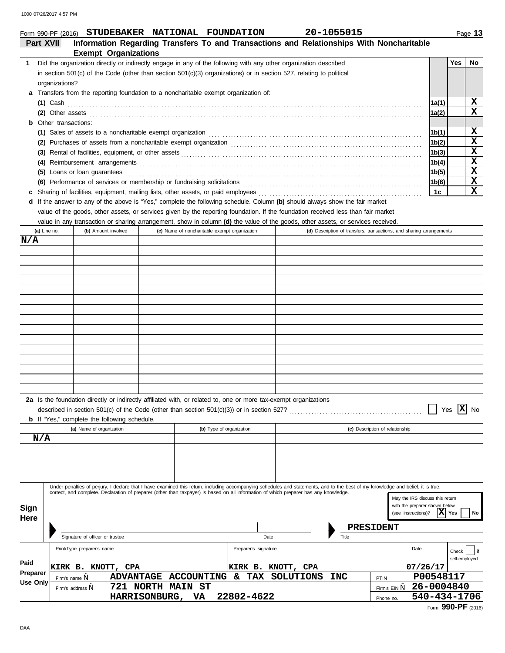### **Part XVII Information Regarding Transfers To and Transactions and Relationships With Noncharitable Exempt Organizations 1 Yes No** Did the organization directly or indirectly engage in any of the following with any other organization described Form 990-PF (2016) **STUDEBAKER NATIONAL FOUNDATION 20-1055015**

| in section $501(c)$ of the Code (other than section $501(c)(3)$ organizations) or in section 527, relating to political                 |       |   |
|-----------------------------------------------------------------------------------------------------------------------------------------|-------|---|
| organizations?                                                                                                                          |       |   |
| a Transfers from the reporting foundation to a noncharitable exempt organization of:                                                    |       |   |
| $(1)$ Cash                                                                                                                              | 1a(1) | х |
| (2) Other assets                                                                                                                        | 1a(2) | x |
| <b>b</b> Other transactions:                                                                                                            |       |   |
| (1) Sales of assets to a noncharitable exempt organization material content of the set of assets to a noncharitable exempt organization | 1b(1) | х |
|                                                                                                                                         | 1b(2) |   |
|                                                                                                                                         | 1b(3) | х |
|                                                                                                                                         | 1b(4) | х |
| (5) Loans or loan guarantees                                                                                                            | 1b(5) | х |
| (6) Performance of services or membership or fundraising solicitations                                                                  | 1b(6) | х |
|                                                                                                                                         | 1c    |   |
|                                                                                                                                         |       |   |

If the answer to any of the above is "Yes," complete the following schedule. Column **(b)** should always show the fair market **d** value of the goods, other assets, or services given by the reporting foundation. If the foundation received less than fair market

value in any transaction or sharing arrangement, show in column **(d)** the value of the goods, other assets, or services received.

| (a) Line no.    | (b) Amount involved                                 | (c) Name of noncharitable exempt organization                                                                                                                                    |                           |  |            | (d) Description of transfers, transactions, and sharing arrangements                                                |
|-----------------|-----------------------------------------------------|----------------------------------------------------------------------------------------------------------------------------------------------------------------------------------|---------------------------|--|------------|---------------------------------------------------------------------------------------------------------------------|
| N/A             |                                                     |                                                                                                                                                                                  |                           |  |            |                                                                                                                     |
|                 |                                                     |                                                                                                                                                                                  |                           |  |            |                                                                                                                     |
|                 |                                                     |                                                                                                                                                                                  |                           |  |            |                                                                                                                     |
|                 |                                                     |                                                                                                                                                                                  |                           |  |            |                                                                                                                     |
|                 |                                                     |                                                                                                                                                                                  |                           |  |            |                                                                                                                     |
|                 |                                                     |                                                                                                                                                                                  |                           |  |            |                                                                                                                     |
|                 |                                                     |                                                                                                                                                                                  |                           |  |            |                                                                                                                     |
|                 |                                                     |                                                                                                                                                                                  |                           |  |            |                                                                                                                     |
|                 |                                                     |                                                                                                                                                                                  |                           |  |            |                                                                                                                     |
|                 |                                                     |                                                                                                                                                                                  |                           |  |            |                                                                                                                     |
|                 |                                                     |                                                                                                                                                                                  |                           |  |            |                                                                                                                     |
|                 |                                                     |                                                                                                                                                                                  |                           |  |            |                                                                                                                     |
|                 |                                                     |                                                                                                                                                                                  |                           |  |            |                                                                                                                     |
|                 |                                                     |                                                                                                                                                                                  |                           |  |            |                                                                                                                     |
|                 |                                                     |                                                                                                                                                                                  |                           |  |            |                                                                                                                     |
|                 |                                                     |                                                                                                                                                                                  |                           |  |            |                                                                                                                     |
|                 | <b>b</b> If "Yes," complete the following schedule. |                                                                                                                                                                                  |                           |  |            | $\vert x \vert$<br>No<br>Yes                                                                                        |
|                 | (a) Name of organization                            |                                                                                                                                                                                  | (b) Type of organization  |  |            | (c) Description of relationship                                                                                     |
| N/A             |                                                     |                                                                                                                                                                                  |                           |  |            |                                                                                                                     |
|                 |                                                     |                                                                                                                                                                                  |                           |  |            |                                                                                                                     |
|                 |                                                     |                                                                                                                                                                                  |                           |  |            |                                                                                                                     |
|                 |                                                     |                                                                                                                                                                                  |                           |  |            |                                                                                                                     |
|                 |                                                     | Under penalties of perjury, I declare that I have examined this return, including accompanying schedules and statements, and to the best of my knowledge and belief, it is true, |                           |  |            |                                                                                                                     |
| Sign<br>Here    |                                                     | correct, and complete. Declaration of preparer (other than taxpayer) is based on all information of which preparer has any knowledge.                                            |                           |  |            | May the IRS discuss this return<br>with the preparer shown below<br>$ \mathbf{X} $ Yes<br>(see instructions)?<br>No |
|                 |                                                     |                                                                                                                                                                                  |                           |  |            | PRESIDENT                                                                                                           |
|                 | Signature of officer or trustee                     |                                                                                                                                                                                  | Date                      |  | Title      |                                                                                                                     |
|                 | Print/Type preparer's name                          |                                                                                                                                                                                  | Preparer's signature      |  |            | Date<br>Check<br>$ $ if<br>self-employed                                                                            |
| Paid            | KIRK B. KNOTT, CPA                                  |                                                                                                                                                                                  | <b>KIRK B. KNOTT, CPA</b> |  |            | 07/26/17                                                                                                            |
| Preparer        | Firm's name,                                        | ADVANTAGE ACCOUNTING & TAX SOLUTIONS                                                                                                                                             |                           |  | <b>INC</b> | P00548117<br>PTIN                                                                                                   |
| <b>Use Only</b> | Firm's address,                                     | 721 NORTH MAIN ST                                                                                                                                                                |                           |  |            | 26-0004840<br>Firm's EIN ,,                                                                                         |
|                 |                                                     | HARRISONBURG, VA                                                                                                                                                                 | 22802-4622                |  |            | 540-434-1706<br>Phone no.                                                                                           |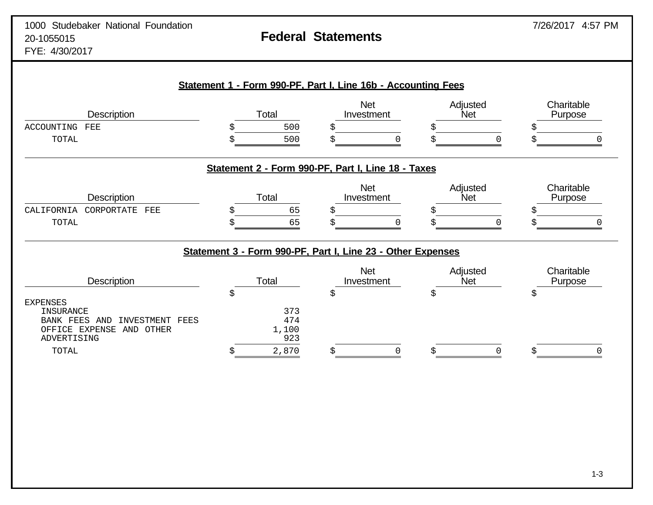| Description                                                                                                                 | Total                            | <b>Net</b><br>Investment                                    | Adjusted<br>Net        | Charitable<br>Purpose |
|-----------------------------------------------------------------------------------------------------------------------------|----------------------------------|-------------------------------------------------------------|------------------------|-----------------------|
| <b>ACCOUNTING</b><br>FEE<br>TOTAL                                                                                           | 500<br>500                       | Ś<br>Ś                                                      |                        |                       |
|                                                                                                                             |                                  | Statement 2 - Form 990-PF, Part I, Line 18 - Taxes          |                        |                       |
| <b>Description</b><br>CALIFORNIA<br>CORPORTATE<br>FEE<br>TOTAL                                                              | Total<br>65<br>Ŝ<br>65           | <b>Net</b><br>Investment<br>Ś                               | Adjusted<br><b>Net</b> | Charitable<br>Purpose |
|                                                                                                                             |                                  | Statement 3 - Form 990-PF, Part I, Line 23 - Other Expenses |                        |                       |
| <b>Description</b>                                                                                                          | Total                            | <b>Net</b><br>Investment                                    | Adjusted<br><b>Net</b> | Charitable<br>Purpose |
| <b>EXPENSES</b><br>INSURANCE<br>INVESTMENT FEES<br>FEES<br>AND<br><b>BANK</b><br>OFFICE EXPENSE<br>AND OTHER<br>ADVERTISING | \$<br>373<br>474<br>1,100<br>923 | \$                                                          | Ŝ                      | \$                    |
| TOTAL                                                                                                                       | 2,870<br>S                       | S                                                           |                        |                       |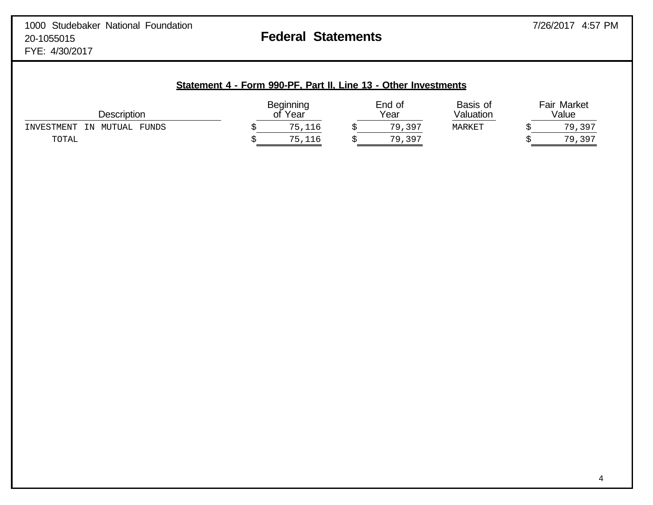| Description                                  | <b>Beginning</b><br>Year<br>оt |  | End of<br>Year | Basis of<br>Valuation | <b>Fair Market</b><br>Value |             |  |
|----------------------------------------------|--------------------------------|--|----------------|-----------------------|-----------------------------|-------------|--|
| <b>FUNDS</b><br>INVESTMENT<br>ΙN<br>ΜΊΤΤΙΑΙ. | ,116                           |  | , 397<br>79    | MARKET                |                             | 7 Q<br>,397 |  |
| TOTAL                                        | 116                            |  | 79<br>,397     |                       |                             | 79<br>, 397 |  |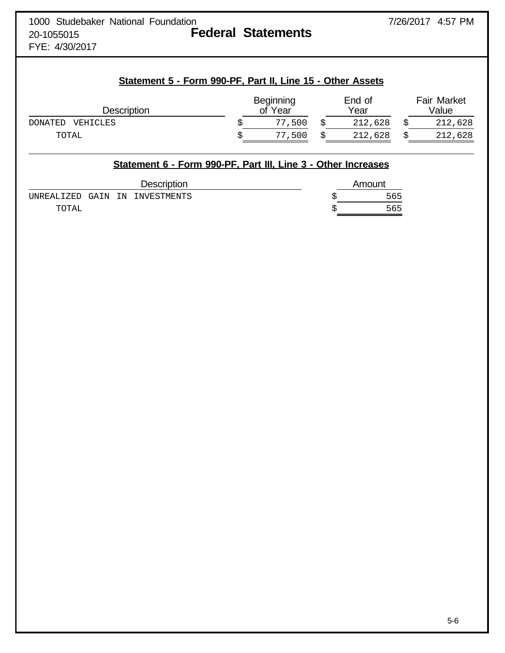| 1000 Studebaker National Foundation |  |                           |
|-------------------------------------|--|---------------------------|
| 20-1055015                          |  | <b>Federal Statements</b> |
| $TUT$ $1000017$                     |  |                           |

FYE: 4/30/2017

# **Statement 5 - Form 990-PF, Part II, Line 15 - Other Assets**

| <b>Description</b>         | Beginning<br>'Year<br>оf | End of<br>Year | <b>Fair Market</b><br>Value |
|----------------------------|--------------------------|----------------|-----------------------------|
| <b>DONATED</b><br>VEHICLES | 500 ،<br>77              | 212,628        | 212,628                     |
| TOTAL                      | 500<br>77                | 212,628        | 212,628                     |

|        | Statement 6 - Form 990-PF, Part III, Line 3 - Other Increases |  |                                |  |  |        |  |  |
|--------|---------------------------------------------------------------|--|--------------------------------|--|--|--------|--|--|
|        | <b>Description</b>                                            |  |                                |  |  | Amount |  |  |
|        |                                                               |  | UNREALIZED GAIN IN INVESTMENTS |  |  | 565    |  |  |
| TOTAL. |                                                               |  |                                |  |  | 565    |  |  |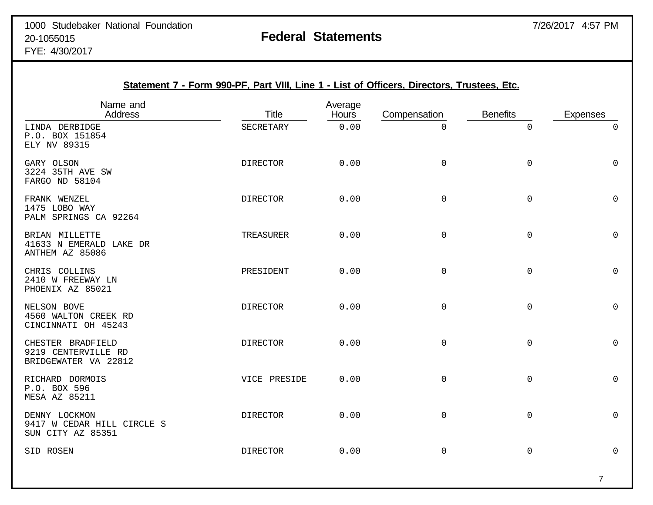| Statement 7 - Form 990-PF, Part VIII, Line 1 - List of Officers, Directors, Trustees, Etc. |                 |                         |              |                     |                     |
|--------------------------------------------------------------------------------------------|-----------------|-------------------------|--------------|---------------------|---------------------|
| Name and<br><b>Address</b>                                                                 | <b>Title</b>    | Average<br><b>Hours</b> | Compensation | <b>Benefits</b>     | <b>Expenses</b>     |
| LINDA DERBIDGE<br>P.O. BOX 151854<br>ELY NV 89315                                          | SECRETARY       | 0.00                    | $\Omega$     | 0                   | $\mathsf{O}$        |
| GARY OLSON<br>3224 35TH AVE SW<br>FARGO ND 58104                                           | <b>DIRECTOR</b> | 0.00                    | 0            | $\mathbf 0$         | $\mathsf 0$         |
| FRANK WENZEL<br>1475 LOBO WAY<br>PALM SPRINGS CA 92264                                     | <b>DIRECTOR</b> | 0.00                    | $\mathsf 0$  | $\mathsf{O}$        | $\mathbf 0$         |
| BRIAN MILLETTE<br>41633 N EMERALD LAKE DR<br>ANTHEM AZ 85086                               | TREASURER       | 0.00                    | 0            | $\mathsf{O}$        | $\mathbf 0$         |
| CHRIS COLLINS<br>2410 W FREEWAY LN<br>PHOENIX AZ 85021                                     | PRESIDENT       | 0.00                    | $\mathsf 0$  | $\mathsf{O}\xspace$ | 0                   |
| NELSON BOVE<br>4560 WALTON CREEK RD<br>CINCINNATI OH 45243                                 | <b>DIRECTOR</b> | 0.00                    | 0            | $\mathsf{O}$        | $\mathbf 0$         |
| CHESTER BRADFIELD<br>9219 CENTERVILLE RD<br>BRIDGEWATER VA 22812                           | <b>DIRECTOR</b> | 0.00                    | 0            | $\mathsf{O}$        | $\mathsf 0$         |
| RICHARD DORMOIS<br>P.O. BOX 596<br><b>MESA AZ 85211</b>                                    | VICE PRESIDE    | 0.00                    | 0            | $\mathsf{O}$        | $\mathsf{O}$        |
| DENNY LOCKMON<br>9417 W CEDAR HILL CIRCLE S<br>SUN CITY AZ 85351                           | <b>DIRECTOR</b> | 0.00                    | 0            | $\mathsf{O}$        | $\mathsf 0$         |
| SID ROSEN                                                                                  | <b>DIRECTOR</b> | 0.00                    | 0            | $\mathsf 0$         | $\mathsf{O}\xspace$ |

### 7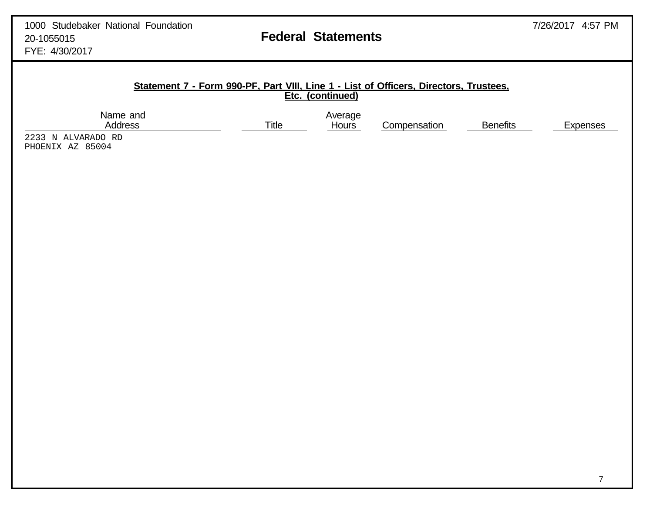Compensation Benefits Expenses

### **Statement 7 - Form 990-PF, Part VIII, Line 1 - List of Officers, Directors, Trustees, Etc. (continued)**

Name and Average Average Address and Average Address and Average Average Average Average Average Average Average Average Average Average Average Average Average Average Average Average Average Average Average Average Avera

2233 N ALVARADO RD PHOENIX AZ 85004

7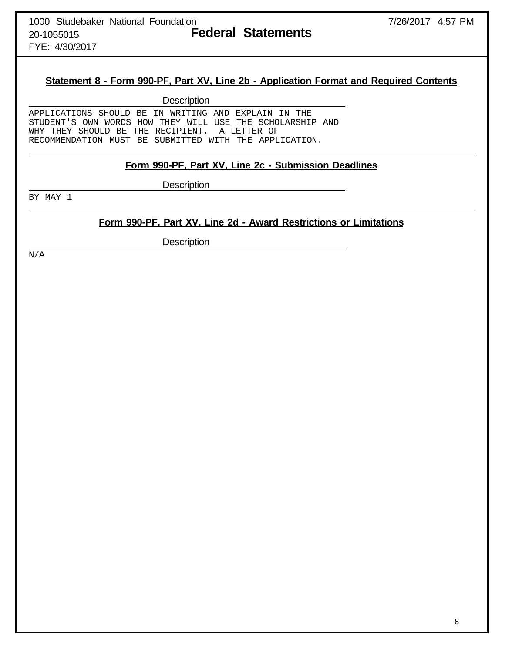FYE: 4/30/2017

# **Statement 8 - Form 990-PF, Part XV, Line 2b - Application Format and Required Contents**

**Description** 

APPLICATIONS SHOULD BE IN WRITING AND EXPLAIN IN THE STUDENT'S OWN WORDS HOW THEY WILL USE THE SCHOLARSHIP AND WHY THEY SHOULD BE THE RECIPIENT. A LETTER OF RECOMMENDATION MUST BE SUBMITTED WITH THE APPLICATION.

### **Form 990-PF, Part XV, Line 2c - Submission Deadlines**

**Description** 

BY MAY 1

# **Form 990-PF, Part XV, Line 2d - Award Restrictions or Limitations**

**Description** 

N/A